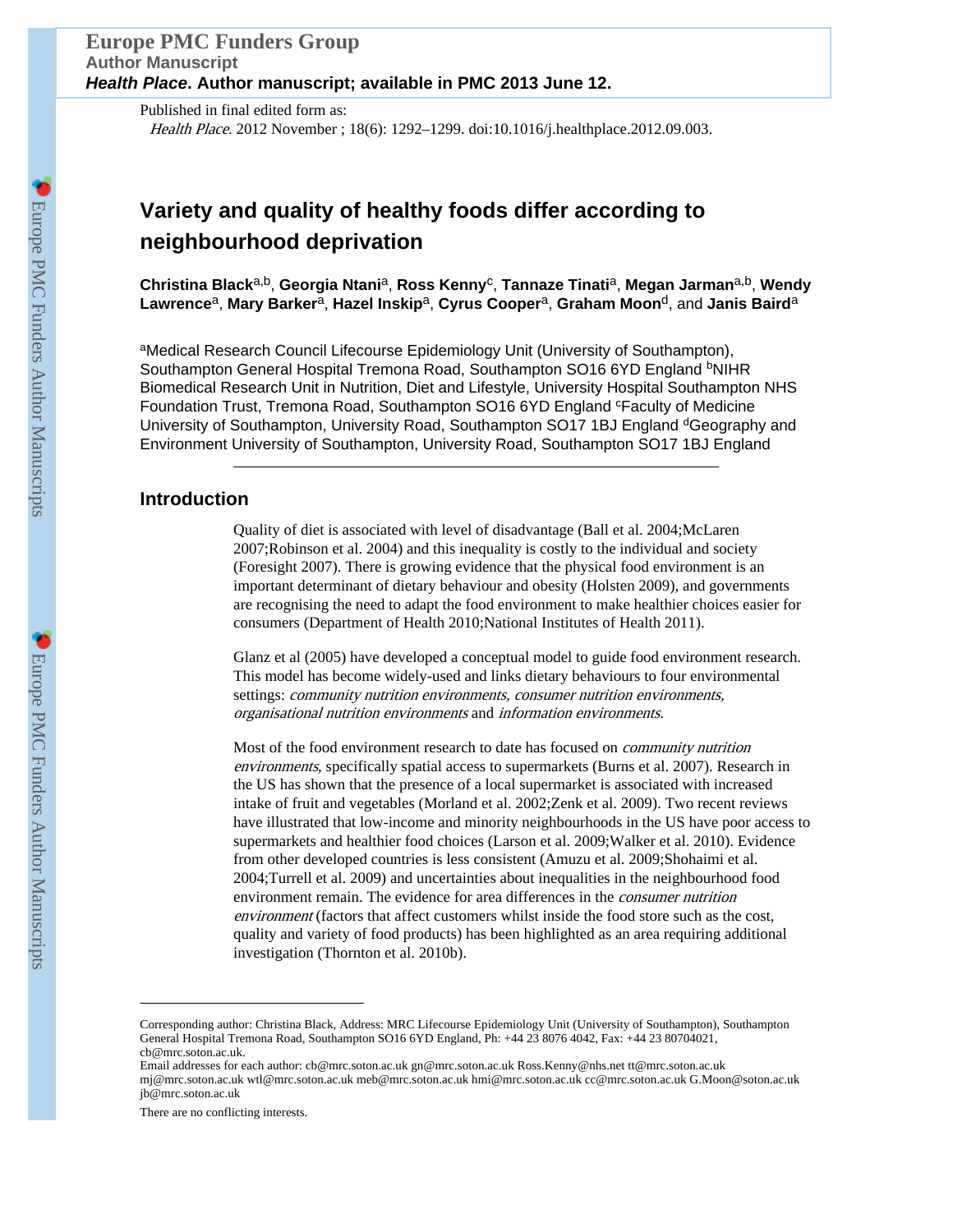Published in final edited form as: Health Place. 2012 November ; 18(6): 1292–1299. doi:10.1016/j.healthplace.2012.09.003.

# **Variety and quality of healthy foods differ according to neighbourhood deprivation**

**Christina Black**a,b, **Georgia Ntani**a, **Ross Kenny**<sup>c</sup> , **Tannaze Tinati**a, **Megan Jarman**a,b, **Wendy Lawrence**a, **Mary Barker**a, **Hazel Inskip**a, **Cyrus Cooper**a, **Graham Moon**d, and **Janis Baird**<sup>a</sup>

aMedical Research Council Lifecourse Epidemiology Unit (University of Southampton), Southampton General Hospital Tremona Road, Southampton SO16 6YD England <sup>b</sup>NIHR Biomedical Research Unit in Nutrition, Diet and Lifestyle, University Hospital Southampton NHS Foundation Trust, Tremona Road, Southampton SO16 6YD England Faculty of Medicine University of Southampton, University Road, Southampton SO17 1BJ England <sup>d</sup>Geography and Environment University of Southampton, University Road, Southampton SO17 1BJ England

# **Introduction**

Quality of diet is associated with level of disadvantage (Ball et al. 2004;McLaren 2007;Robinson et al. 2004) and this inequality is costly to the individual and society (Foresight 2007). There is growing evidence that the physical food environment is an important determinant of dietary behaviour and obesity (Holsten 2009), and governments are recognising the need to adapt the food environment to make healthier choices easier for consumers (Department of Health 2010;National Institutes of Health 2011).

Glanz et al (2005) have developed a conceptual model to guide food environment research. This model has become widely-used and links dietary behaviours to four environmental settings: *community nutrition environments*, *consumer nutrition environments*, organisational nutrition environments and information environments.

Most of the food environment research to date has focused on community nutrition environments, specifically spatial access to supermarkets (Burns et al. 2007). Research in the US has shown that the presence of a local supermarket is associated with increased intake of fruit and vegetables (Morland et al. 2002;Zenk et al. 2009). Two recent reviews have illustrated that low-income and minority neighbourhoods in the US have poor access to supermarkets and healthier food choices (Larson et al. 2009;Walker et al. 2010). Evidence from other developed countries is less consistent (Amuzu et al. 2009;Shohaimi et al. 2004;Turrell et al. 2009) and uncertainties about inequalities in the neighbourhood food environment remain. The evidence for area differences in the consumer nutrition environment (factors that affect customers whilst inside the food store such as the cost, quality and variety of food products) has been highlighted as an area requiring additional investigation (Thornton et al. 2010b).

Corresponding author: Christina Black, Address: MRC Lifecourse Epidemiology Unit (University of Southampton), Southampton General Hospital Tremona Road, Southampton SO16 6YD England, Ph: +44 23 8076 4042, Fax: +44 23 80704021, cb@mrc.soton.ac.uk.

Email addresses for each author: cb@mrc.soton.ac.uk gn@mrc.soton.ac.uk Ross.Kenny@nhs.net tt@mrc.soton.ac.uk mj@mrc.soton.ac.uk wtl@mrc.soton.ac.uk meb@mrc.soton.ac.uk hmi@mrc.soton.ac.uk cc@mrc.soton.ac.uk G.Moon@soton.ac.uk jb@mrc.soton.ac.uk

There are no conflicting interests.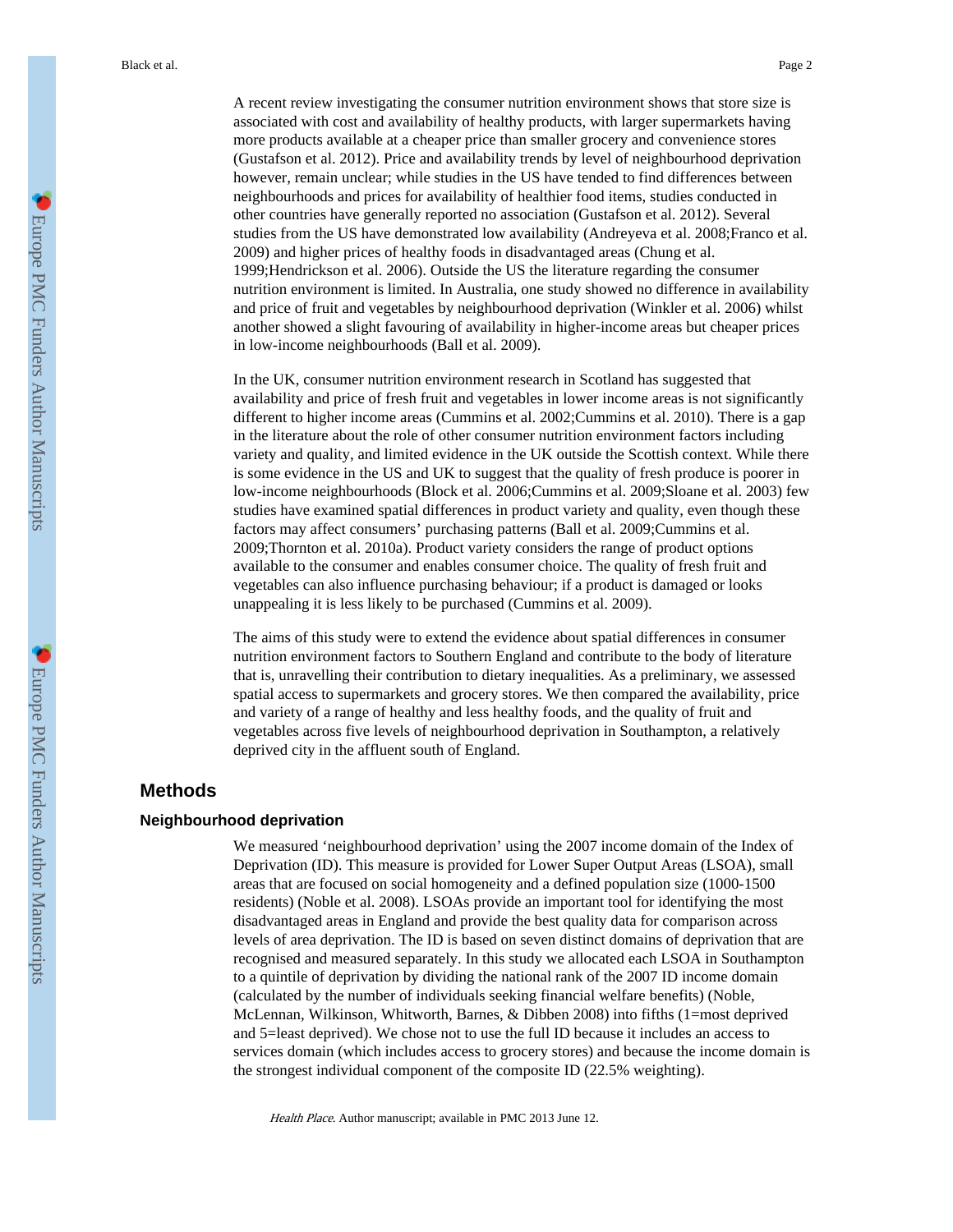A recent review investigating the consumer nutrition environment shows that store size is associated with cost and availability of healthy products, with larger supermarkets having more products available at a cheaper price than smaller grocery and convenience stores (Gustafson et al. 2012). Price and availability trends by level of neighbourhood deprivation however, remain unclear; while studies in the US have tended to find differences between neighbourhoods and prices for availability of healthier food items, studies conducted in other countries have generally reported no association (Gustafson et al. 2012). Several studies from the US have demonstrated low availability (Andreyeva et al. 2008;Franco et al. 2009) and higher prices of healthy foods in disadvantaged areas (Chung et al. 1999;Hendrickson et al. 2006). Outside the US the literature regarding the consumer nutrition environment is limited. In Australia, one study showed no difference in availability and price of fruit and vegetables by neighbourhood deprivation (Winkler et al. 2006) whilst another showed a slight favouring of availability in higher-income areas but cheaper prices in low-income neighbourhoods (Ball et al. 2009).

In the UK, consumer nutrition environment research in Scotland has suggested that availability and price of fresh fruit and vegetables in lower income areas is not significantly different to higher income areas (Cummins et al. 2002;Cummins et al. 2010). There is a gap in the literature about the role of other consumer nutrition environment factors including variety and quality, and limited evidence in the UK outside the Scottish context. While there is some evidence in the US and UK to suggest that the quality of fresh produce is poorer in low-income neighbourhoods (Block et al. 2006;Cummins et al. 2009;Sloane et al. 2003) few studies have examined spatial differences in product variety and quality, even though these factors may affect consumers' purchasing patterns (Ball et al. 2009;Cummins et al. 2009;Thornton et al. 2010a). Product variety considers the range of product options available to the consumer and enables consumer choice. The quality of fresh fruit and vegetables can also influence purchasing behaviour; if a product is damaged or looks unappealing it is less likely to be purchased (Cummins et al. 2009).

The aims of this study were to extend the evidence about spatial differences in consumer nutrition environment factors to Southern England and contribute to the body of literature that is, unravelling their contribution to dietary inequalities. As a preliminary, we assessed spatial access to supermarkets and grocery stores. We then compared the availability, price and variety of a range of healthy and less healthy foods, and the quality of fruit and vegetables across five levels of neighbourhood deprivation in Southampton, a relatively deprived city in the affluent south of England.

## **Methods**

#### **Neighbourhood deprivation**

We measured 'neighbourhood deprivation' using the 2007 income domain of the Index of Deprivation (ID). This measure is provided for Lower Super Output Areas (LSOA), small areas that are focused on social homogeneity and a defined population size (1000-1500 residents) (Noble et al. 2008). LSOAs provide an important tool for identifying the most disadvantaged areas in England and provide the best quality data for comparison across levels of area deprivation. The ID is based on seven distinct domains of deprivation that are recognised and measured separately. In this study we allocated each LSOA in Southampton to a quintile of deprivation by dividing the national rank of the 2007 ID income domain (calculated by the number of individuals seeking financial welfare benefits) (Noble, McLennan, Wilkinson, Whitworth, Barnes, & Dibben 2008) into fifths (1=most deprived and 5=least deprived). We chose not to use the full ID because it includes an access to services domain (which includes access to grocery stores) and because the income domain is the strongest individual component of the composite ID (22.5% weighting).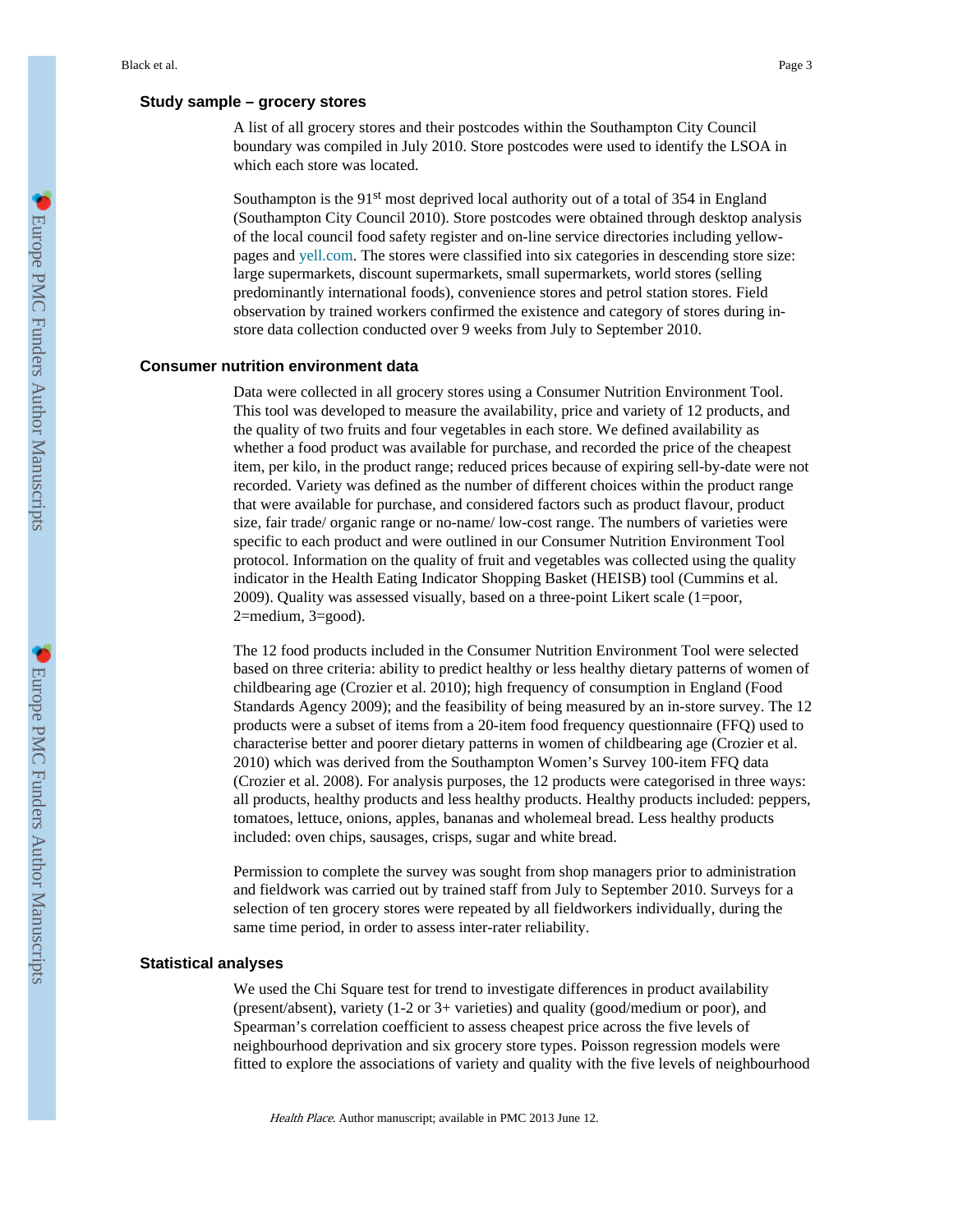#### **Study sample – grocery stores**

A list of all grocery stores and their postcodes within the Southampton City Council boundary was compiled in July 2010. Store postcodes were used to identify the LSOA in which each store was located.

Southampton is the 91<sup>st</sup> most deprived local authority out of a total of 354 in England (Southampton City Council 2010). Store postcodes were obtained through desktop analysis of the local council food safety register and on-line service directories including yellowpages and [yell.com.](http://yell.com) The stores were classified into six categories in descending store size: large supermarkets, discount supermarkets, small supermarkets, world stores (selling predominantly international foods), convenience stores and petrol station stores. Field observation by trained workers confirmed the existence and category of stores during instore data collection conducted over 9 weeks from July to September 2010.

#### **Consumer nutrition environment data**

Data were collected in all grocery stores using a Consumer Nutrition Environment Tool. This tool was developed to measure the availability, price and variety of 12 products, and the quality of two fruits and four vegetables in each store. We defined availability as whether a food product was available for purchase, and recorded the price of the cheapest item, per kilo, in the product range; reduced prices because of expiring sell-by-date were not recorded. Variety was defined as the number of different choices within the product range that were available for purchase, and considered factors such as product flavour, product size, fair trade/ organic range or no-name/ low-cost range. The numbers of varieties were specific to each product and were outlined in our Consumer Nutrition Environment Tool protocol. Information on the quality of fruit and vegetables was collected using the quality indicator in the Health Eating Indicator Shopping Basket (HEISB) tool (Cummins et al. 2009). Quality was assessed visually, based on a three-point Likert scale (1=poor, 2=medium, 3=good).

The 12 food products included in the Consumer Nutrition Environment Tool were selected based on three criteria: ability to predict healthy or less healthy dietary patterns of women of childbearing age (Crozier et al. 2010); high frequency of consumption in England (Food Standards Agency 2009); and the feasibility of being measured by an in-store survey. The 12 products were a subset of items from a 20-item food frequency questionnaire (FFQ) used to characterise better and poorer dietary patterns in women of childbearing age (Crozier et al. 2010) which was derived from the Southampton Women's Survey 100-item FFQ data (Crozier et al. 2008). For analysis purposes, the 12 products were categorised in three ways: all products, healthy products and less healthy products. Healthy products included: peppers, tomatoes, lettuce, onions, apples, bananas and wholemeal bread. Less healthy products included: oven chips, sausages, crisps, sugar and white bread.

Permission to complete the survey was sought from shop managers prior to administration and fieldwork was carried out by trained staff from July to September 2010. Surveys for a selection of ten grocery stores were repeated by all fieldworkers individually, during the same time period, in order to assess inter-rater reliability.

#### **Statistical analyses**

We used the Chi Square test for trend to investigate differences in product availability (present/absent), variety (1-2 or 3+ varieties) and quality (good/medium or poor), and Spearman's correlation coefficient to assess cheapest price across the five levels of neighbourhood deprivation and six grocery store types. Poisson regression models were fitted to explore the associations of variety and quality with the five levels of neighbourhood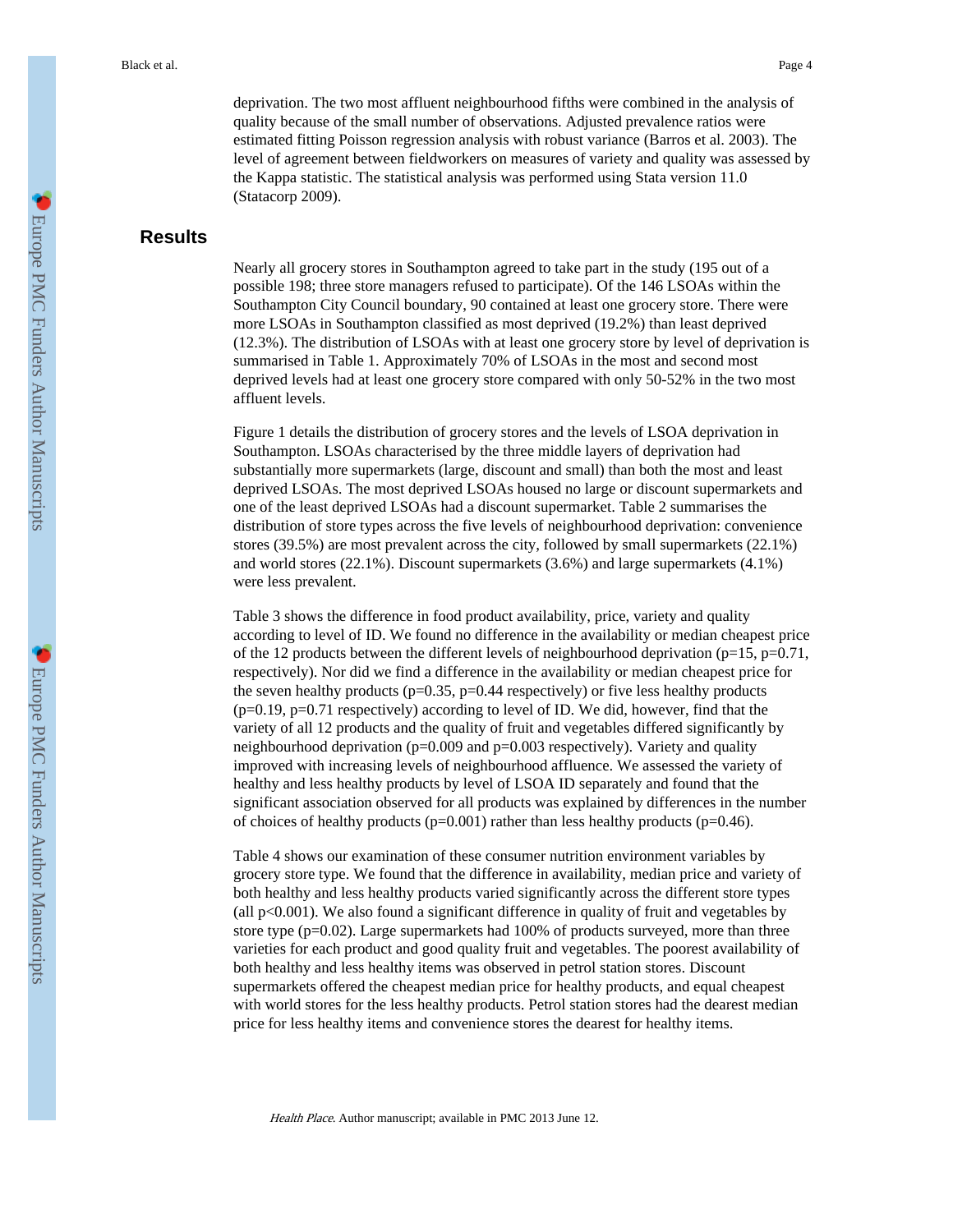deprivation. The two most affluent neighbourhood fifths were combined in the analysis of quality because of the small number of observations. Adjusted prevalence ratios were estimated fitting Poisson regression analysis with robust variance (Barros et al. 2003). The level of agreement between fieldworkers on measures of variety and quality was assessed by the Kappa statistic. The statistical analysis was performed using Stata version 11.0 (Statacorp 2009).

# **Results**

Nearly all grocery stores in Southampton agreed to take part in the study (195 out of a possible 198; three store managers refused to participate). Of the 146 LSOAs within the Southampton City Council boundary, 90 contained at least one grocery store. There were more LSOAs in Southampton classified as most deprived (19.2%) than least deprived (12.3%). The distribution of LSOAs with at least one grocery store by level of deprivation is summarised in Table 1. Approximately 70% of LSOAs in the most and second most deprived levels had at least one grocery store compared with only 50-52% in the two most affluent levels.

Figure 1 details the distribution of grocery stores and the levels of LSOA deprivation in Southampton. LSOAs characterised by the three middle layers of deprivation had substantially more supermarkets (large, discount and small) than both the most and least deprived LSOAs. The most deprived LSOAs housed no large or discount supermarkets and one of the least deprived LSOAs had a discount supermarket. Table 2 summarises the distribution of store types across the five levels of neighbourhood deprivation: convenience stores (39.5%) are most prevalent across the city, followed by small supermarkets (22.1%) and world stores (22.1%). Discount supermarkets (3.6%) and large supermarkets (4.1%) were less prevalent.

Table 3 shows the difference in food product availability, price, variety and quality according to level of ID. We found no difference in the availability or median cheapest price of the 12 products between the different levels of neighbourhood deprivation ( $p=15$ ,  $p=0.71$ , respectively). Nor did we find a difference in the availability or median cheapest price for the seven healthy products ( $p=0.35$ ,  $p=0.44$  respectively) or five less healthy products  $(p=0.19, p=0.71$  respectively) according to level of ID. We did, however, find that the variety of all 12 products and the quality of fruit and vegetables differed significantly by neighbourhood deprivation (p=0.009 and p=0.003 respectively). Variety and quality improved with increasing levels of neighbourhood affluence. We assessed the variety of healthy and less healthy products by level of LSOA ID separately and found that the significant association observed for all products was explained by differences in the number of choices of healthy products ( $p=0.001$ ) rather than less healthy products ( $p=0.46$ ).

Table 4 shows our examination of these consumer nutrition environment variables by grocery store type. We found that the difference in availability, median price and variety of both healthy and less healthy products varied significantly across the different store types (all  $p<0.001$ ). We also found a significant difference in quality of fruit and vegetables by store type (p=0.02). Large supermarkets had 100% of products surveyed, more than three varieties for each product and good quality fruit and vegetables. The poorest availability of both healthy and less healthy items was observed in petrol station stores. Discount supermarkets offered the cheapest median price for healthy products, and equal cheapest with world stores for the less healthy products. Petrol station stores had the dearest median price for less healthy items and convenience stores the dearest for healthy items.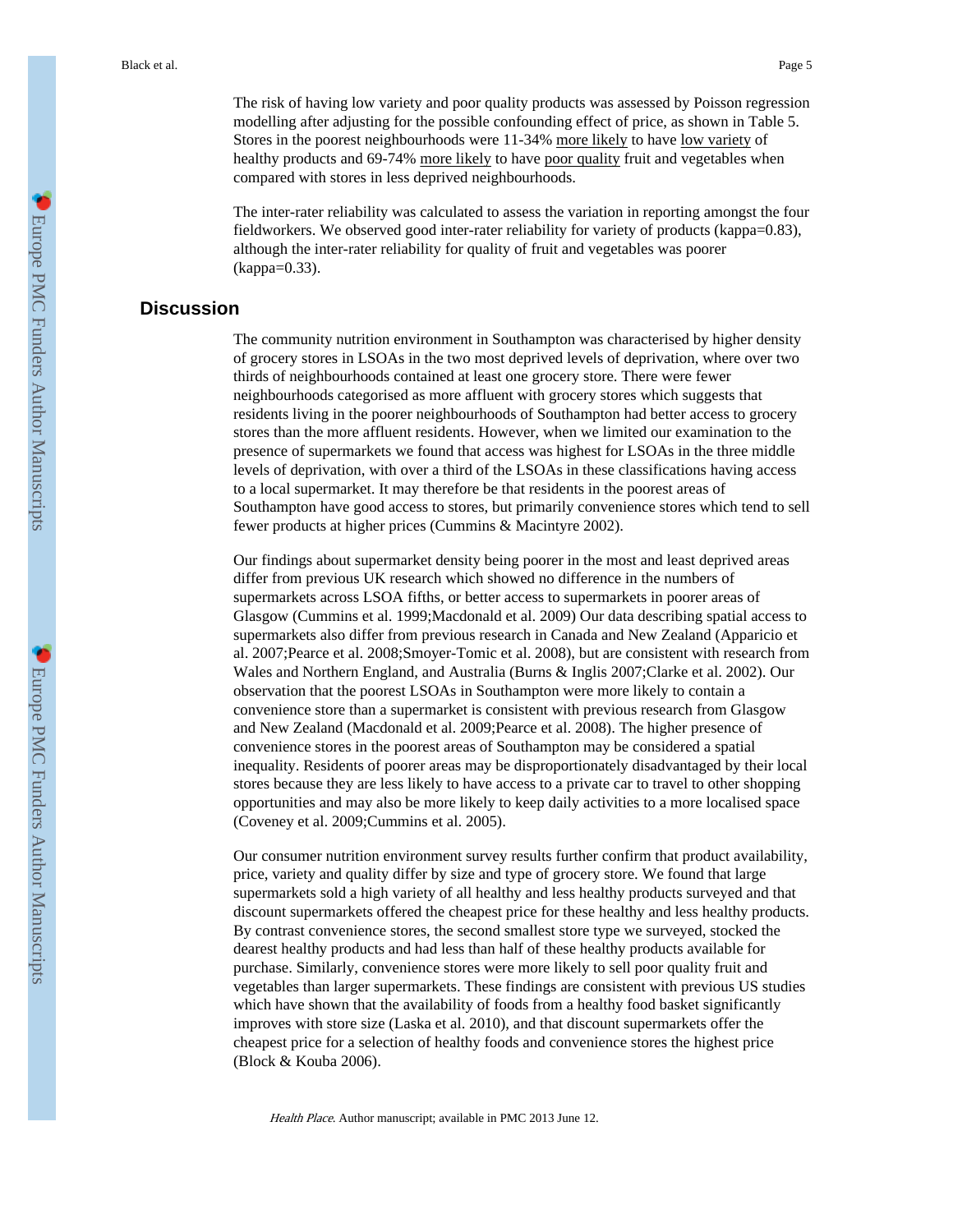The risk of having low variety and poor quality products was assessed by Poisson regression modelling after adjusting for the possible confounding effect of price, as shown in Table 5. Stores in the poorest neighbourhoods were 11-34% more likely to have low variety of healthy products and 69-74% more likely to have poor quality fruit and vegetables when compared with stores in less deprived neighbourhoods.

The inter-rater reliability was calculated to assess the variation in reporting amongst the four fieldworkers. We observed good inter-rater reliability for variety of products (kappa=0.83), although the inter-rater reliability for quality of fruit and vegetables was poorer (kappa=0.33).

# **Discussion**

The community nutrition environment in Southampton was characterised by higher density of grocery stores in LSOAs in the two most deprived levels of deprivation, where over two thirds of neighbourhoods contained at least one grocery store. There were fewer neighbourhoods categorised as more affluent with grocery stores which suggests that residents living in the poorer neighbourhoods of Southampton had better access to grocery stores than the more affluent residents. However, when we limited our examination to the presence of supermarkets we found that access was highest for LSOAs in the three middle levels of deprivation, with over a third of the LSOAs in these classifications having access to a local supermarket. It may therefore be that residents in the poorest areas of Southampton have good access to stores, but primarily convenience stores which tend to sell fewer products at higher prices (Cummins & Macintyre 2002).

Our findings about supermarket density being poorer in the most and least deprived areas differ from previous UK research which showed no difference in the numbers of supermarkets across LSOA fifths, or better access to supermarkets in poorer areas of Glasgow (Cummins et al. 1999;Macdonald et al. 2009) Our data describing spatial access to supermarkets also differ from previous research in Canada and New Zealand (Apparicio et al. 2007;Pearce et al. 2008;Smoyer-Tomic et al. 2008), but are consistent with research from Wales and Northern England, and Australia (Burns & Inglis 2007;Clarke et al. 2002). Our observation that the poorest LSOAs in Southampton were more likely to contain a convenience store than a supermarket is consistent with previous research from Glasgow and New Zealand (Macdonald et al. 2009;Pearce et al. 2008). The higher presence of convenience stores in the poorest areas of Southampton may be considered a spatial inequality. Residents of poorer areas may be disproportionately disadvantaged by their local stores because they are less likely to have access to a private car to travel to other shopping opportunities and may also be more likely to keep daily activities to a more localised space (Coveney et al. 2009;Cummins et al. 2005).

Our consumer nutrition environment survey results further confirm that product availability, price, variety and quality differ by size and type of grocery store. We found that large supermarkets sold a high variety of all healthy and less healthy products surveyed and that discount supermarkets offered the cheapest price for these healthy and less healthy products. By contrast convenience stores, the second smallest store type we surveyed, stocked the dearest healthy products and had less than half of these healthy products available for purchase. Similarly, convenience stores were more likely to sell poor quality fruit and vegetables than larger supermarkets. These findings are consistent with previous US studies which have shown that the availability of foods from a healthy food basket significantly improves with store size (Laska et al. 2010), and that discount supermarkets offer the cheapest price for a selection of healthy foods and convenience stores the highest price (Block & Kouba 2006).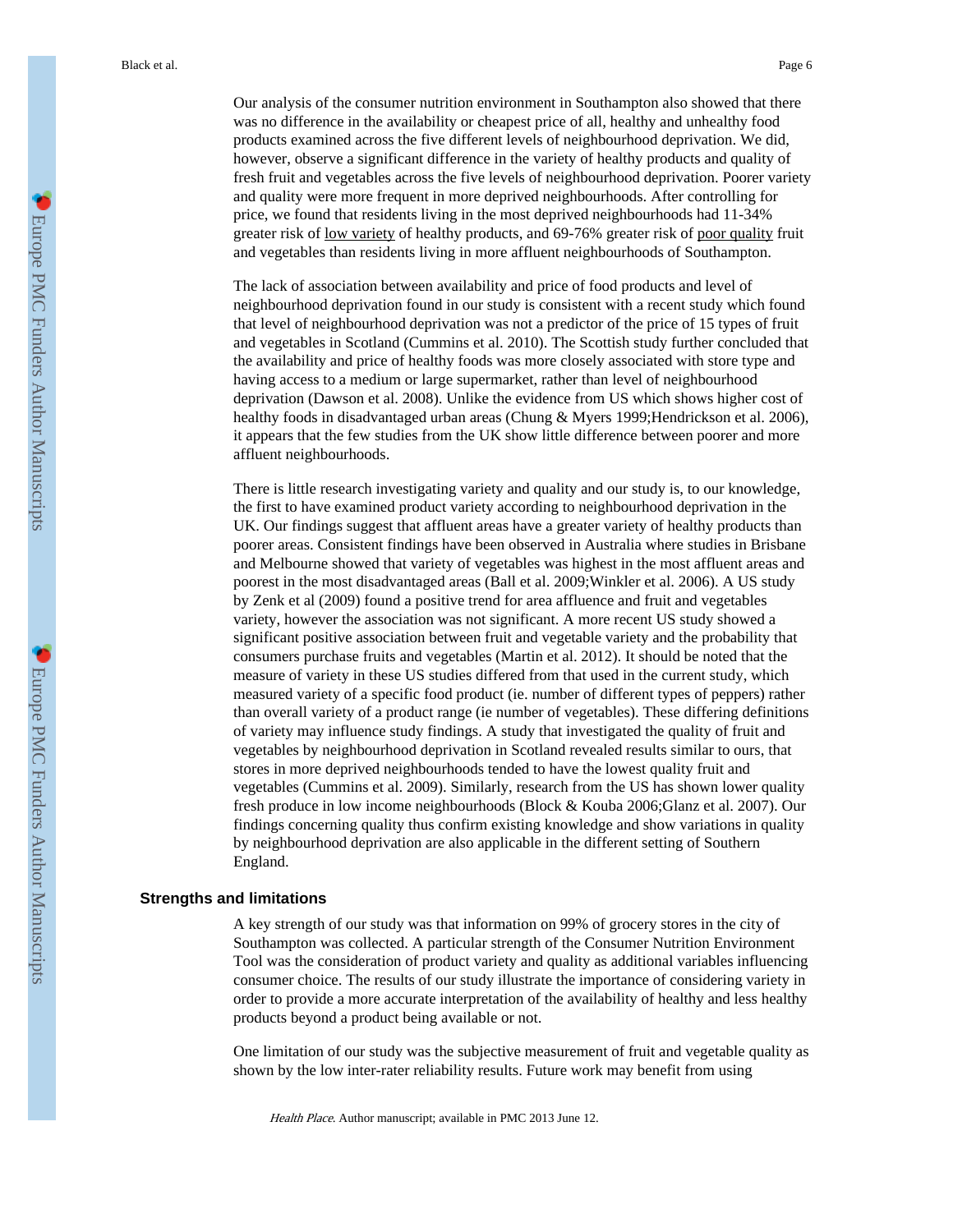Our analysis of the consumer nutrition environment in Southampton also showed that there was no difference in the availability or cheapest price of all, healthy and unhealthy food products examined across the five different levels of neighbourhood deprivation. We did, however, observe a significant difference in the variety of healthy products and quality of fresh fruit and vegetables across the five levels of neighbourhood deprivation. Poorer variety and quality were more frequent in more deprived neighbourhoods. After controlling for price, we found that residents living in the most deprived neighbourhoods had 11-34% greater risk of low variety of healthy products, and 69-76% greater risk of poor quality fruit and vegetables than residents living in more affluent neighbourhoods of Southampton.

The lack of association between availability and price of food products and level of neighbourhood deprivation found in our study is consistent with a recent study which found that level of neighbourhood deprivation was not a predictor of the price of 15 types of fruit and vegetables in Scotland (Cummins et al. 2010). The Scottish study further concluded that the availability and price of healthy foods was more closely associated with store type and having access to a medium or large supermarket, rather than level of neighbourhood deprivation (Dawson et al. 2008). Unlike the evidence from US which shows higher cost of healthy foods in disadvantaged urban areas (Chung & Myers 1999; Hendrickson et al. 2006), it appears that the few studies from the UK show little difference between poorer and more affluent neighbourhoods.

There is little research investigating variety and quality and our study is, to our knowledge, the first to have examined product variety according to neighbourhood deprivation in the UK. Our findings suggest that affluent areas have a greater variety of healthy products than poorer areas. Consistent findings have been observed in Australia where studies in Brisbane and Melbourne showed that variety of vegetables was highest in the most affluent areas and poorest in the most disadvantaged areas (Ball et al. 2009;Winkler et al. 2006). A US study by Zenk et al (2009) found a positive trend for area affluence and fruit and vegetables variety, however the association was not significant. A more recent US study showed a significant positive association between fruit and vegetable variety and the probability that consumers purchase fruits and vegetables (Martin et al. 2012). It should be noted that the measure of variety in these US studies differed from that used in the current study, which measured variety of a specific food product (ie. number of different types of peppers) rather than overall variety of a product range (ie number of vegetables). These differing definitions of variety may influence study findings. A study that investigated the quality of fruit and vegetables by neighbourhood deprivation in Scotland revealed results similar to ours, that stores in more deprived neighbourhoods tended to have the lowest quality fruit and vegetables (Cummins et al. 2009). Similarly, research from the US has shown lower quality fresh produce in low income neighbourhoods (Block & Kouba 2006;Glanz et al. 2007). Our findings concerning quality thus confirm existing knowledge and show variations in quality by neighbourhood deprivation are also applicable in the different setting of Southern England.

#### **Strengths and limitations**

A key strength of our study was that information on 99% of grocery stores in the city of Southampton was collected. A particular strength of the Consumer Nutrition Environment Tool was the consideration of product variety and quality as additional variables influencing consumer choice. The results of our study illustrate the importance of considering variety in order to provide a more accurate interpretation of the availability of healthy and less healthy products beyond a product being available or not.

One limitation of our study was the subjective measurement of fruit and vegetable quality as shown by the low inter-rater reliability results. Future work may benefit from using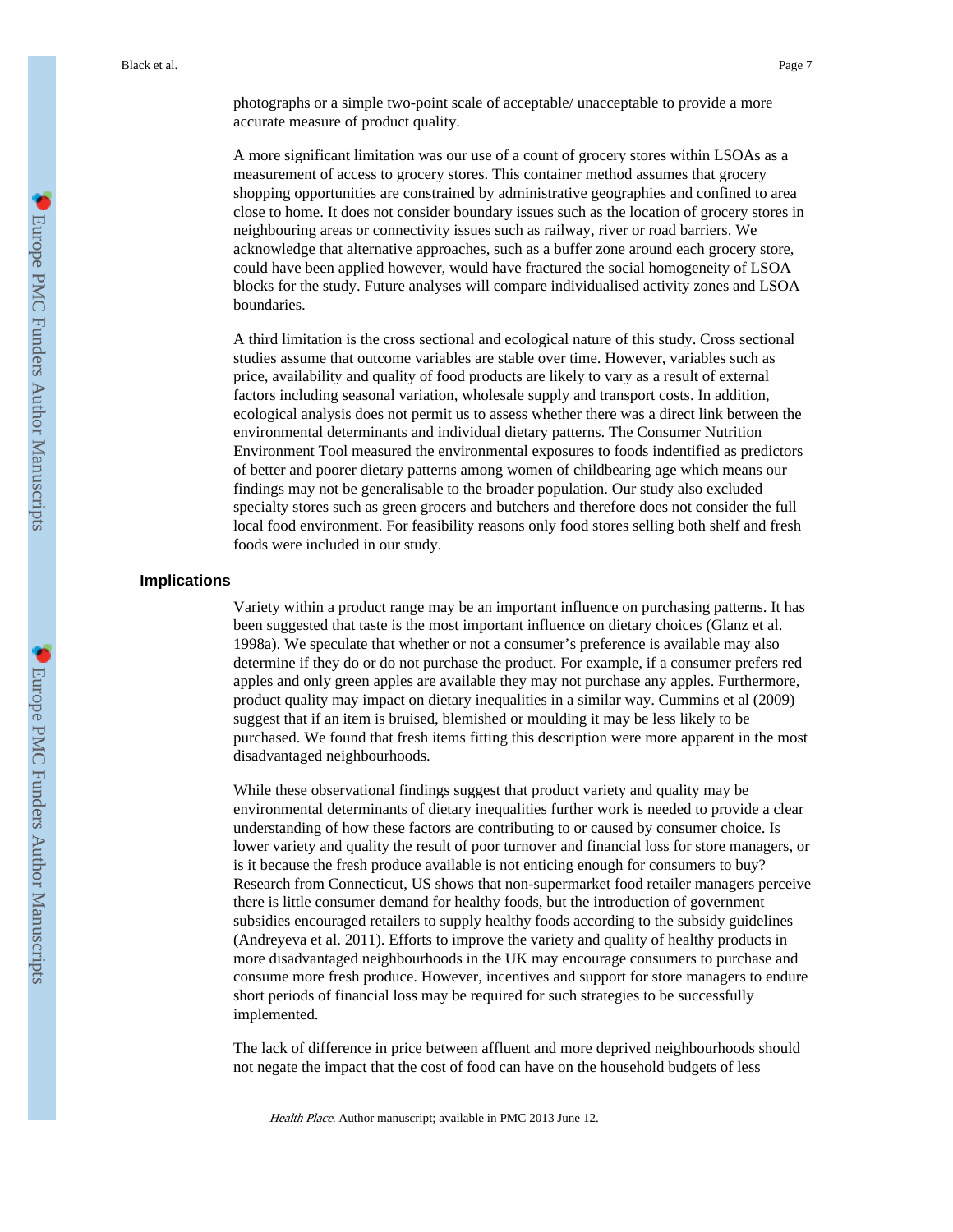photographs or a simple two-point scale of acceptable/ unacceptable to provide a more accurate measure of product quality.

A more significant limitation was our use of a count of grocery stores within LSOAs as a measurement of access to grocery stores. This container method assumes that grocery shopping opportunities are constrained by administrative geographies and confined to area close to home. It does not consider boundary issues such as the location of grocery stores in neighbouring areas or connectivity issues such as railway, river or road barriers. We acknowledge that alternative approaches, such as a buffer zone around each grocery store, could have been applied however, would have fractured the social homogeneity of LSOA blocks for the study. Future analyses will compare individualised activity zones and LSOA boundaries.

A third limitation is the cross sectional and ecological nature of this study. Cross sectional studies assume that outcome variables are stable over time. However, variables such as price, availability and quality of food products are likely to vary as a result of external factors including seasonal variation, wholesale supply and transport costs. In addition, ecological analysis does not permit us to assess whether there was a direct link between the environmental determinants and individual dietary patterns. The Consumer Nutrition Environment Tool measured the environmental exposures to foods indentified as predictors of better and poorer dietary patterns among women of childbearing age which means our findings may not be generalisable to the broader population. Our study also excluded specialty stores such as green grocers and butchers and therefore does not consider the full local food environment. For feasibility reasons only food stores selling both shelf and fresh foods were included in our study.

#### **Implications**

Variety within a product range may be an important influence on purchasing patterns. It has been suggested that taste is the most important influence on dietary choices (Glanz et al. 1998a). We speculate that whether or not a consumer's preference is available may also determine if they do or do not purchase the product. For example, if a consumer prefers red apples and only green apples are available they may not purchase any apples. Furthermore, product quality may impact on dietary inequalities in a similar way. Cummins et al (2009) suggest that if an item is bruised, blemished or moulding it may be less likely to be purchased. We found that fresh items fitting this description were more apparent in the most disadvantaged neighbourhoods.

While these observational findings suggest that product variety and quality may be environmental determinants of dietary inequalities further work is needed to provide a clear understanding of how these factors are contributing to or caused by consumer choice. Is lower variety and quality the result of poor turnover and financial loss for store managers, or is it because the fresh produce available is not enticing enough for consumers to buy? Research from Connecticut, US shows that non-supermarket food retailer managers perceive there is little consumer demand for healthy foods, but the introduction of government subsidies encouraged retailers to supply healthy foods according to the subsidy guidelines (Andreyeva et al. 2011). Efforts to improve the variety and quality of healthy products in more disadvantaged neighbourhoods in the UK may encourage consumers to purchase and consume more fresh produce. However, incentives and support for store managers to endure short periods of financial loss may be required for such strategies to be successfully implemented.

The lack of difference in price between affluent and more deprived neighbourhoods should not negate the impact that the cost of food can have on the household budgets of less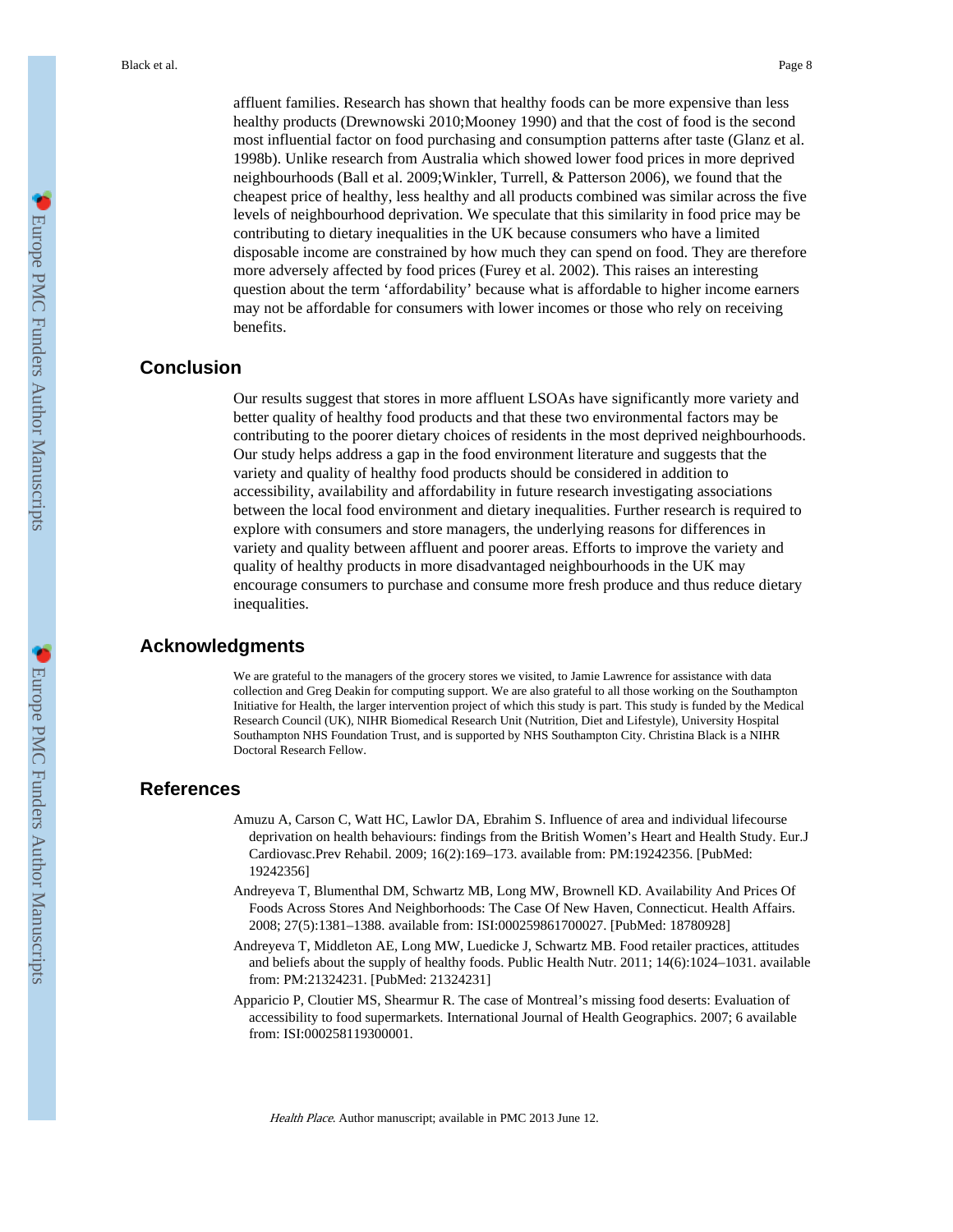affluent families. Research has shown that healthy foods can be more expensive than less healthy products (Drewnowski 2010;Mooney 1990) and that the cost of food is the second most influential factor on food purchasing and consumption patterns after taste (Glanz et al. 1998b). Unlike research from Australia which showed lower food prices in more deprived neighbourhoods (Ball et al. 2009;Winkler, Turrell, & Patterson 2006), we found that the cheapest price of healthy, less healthy and all products combined was similar across the five levels of neighbourhood deprivation. We speculate that this similarity in food price may be contributing to dietary inequalities in the UK because consumers who have a limited disposable income are constrained by how much they can spend on food. They are therefore more adversely affected by food prices (Furey et al. 2002). This raises an interesting question about the term 'affordability' because what is affordable to higher income earners may not be affordable for consumers with lower incomes or those who rely on receiving benefits.

# **Conclusion**

Our results suggest that stores in more affluent LSOAs have significantly more variety and better quality of healthy food products and that these two environmental factors may be contributing to the poorer dietary choices of residents in the most deprived neighbourhoods. Our study helps address a gap in the food environment literature and suggests that the variety and quality of healthy food products should be considered in addition to accessibility, availability and affordability in future research investigating associations between the local food environment and dietary inequalities. Further research is required to explore with consumers and store managers, the underlying reasons for differences in variety and quality between affluent and poorer areas. Efforts to improve the variety and quality of healthy products in more disadvantaged neighbourhoods in the UK may encourage consumers to purchase and consume more fresh produce and thus reduce dietary inequalities.

#### **Acknowledgments**

We are grateful to the managers of the grocery stores we visited, to Jamie Lawrence for assistance with data collection and Greg Deakin for computing support. We are also grateful to all those working on the Southampton Initiative for Health, the larger intervention project of which this study is part. This study is funded by the Medical Research Council (UK), NIHR Biomedical Research Unit (Nutrition, Diet and Lifestyle), University Hospital Southampton NHS Foundation Trust, and is supported by NHS Southampton City. Christina Black is a NIHR Doctoral Research Fellow.

## **References**

- Amuzu A, Carson C, Watt HC, Lawlor DA, Ebrahim S. Influence of area and individual lifecourse deprivation on health behaviours: findings from the British Women's Heart and Health Study. Eur.J Cardiovasc.Prev Rehabil. 2009; 16(2):169–173. available from: PM:19242356. [PubMed: 19242356]
- Andreyeva T, Blumenthal DM, Schwartz MB, Long MW, Brownell KD. Availability And Prices Of Foods Across Stores And Neighborhoods: The Case Of New Haven, Connecticut. Health Affairs. 2008; 27(5):1381–1388. available from: ISI:000259861700027. [PubMed: 18780928]
- Andreyeva T, Middleton AE, Long MW, Luedicke J, Schwartz MB. Food retailer practices, attitudes and beliefs about the supply of healthy foods. Public Health Nutr. 2011; 14(6):1024–1031. available from: PM:21324231. [PubMed: 21324231]
- Apparicio P, Cloutier MS, Shearmur R. The case of Montreal's missing food deserts: Evaluation of accessibility to food supermarkets. International Journal of Health Geographics. 2007; 6 available from: ISI:000258119300001.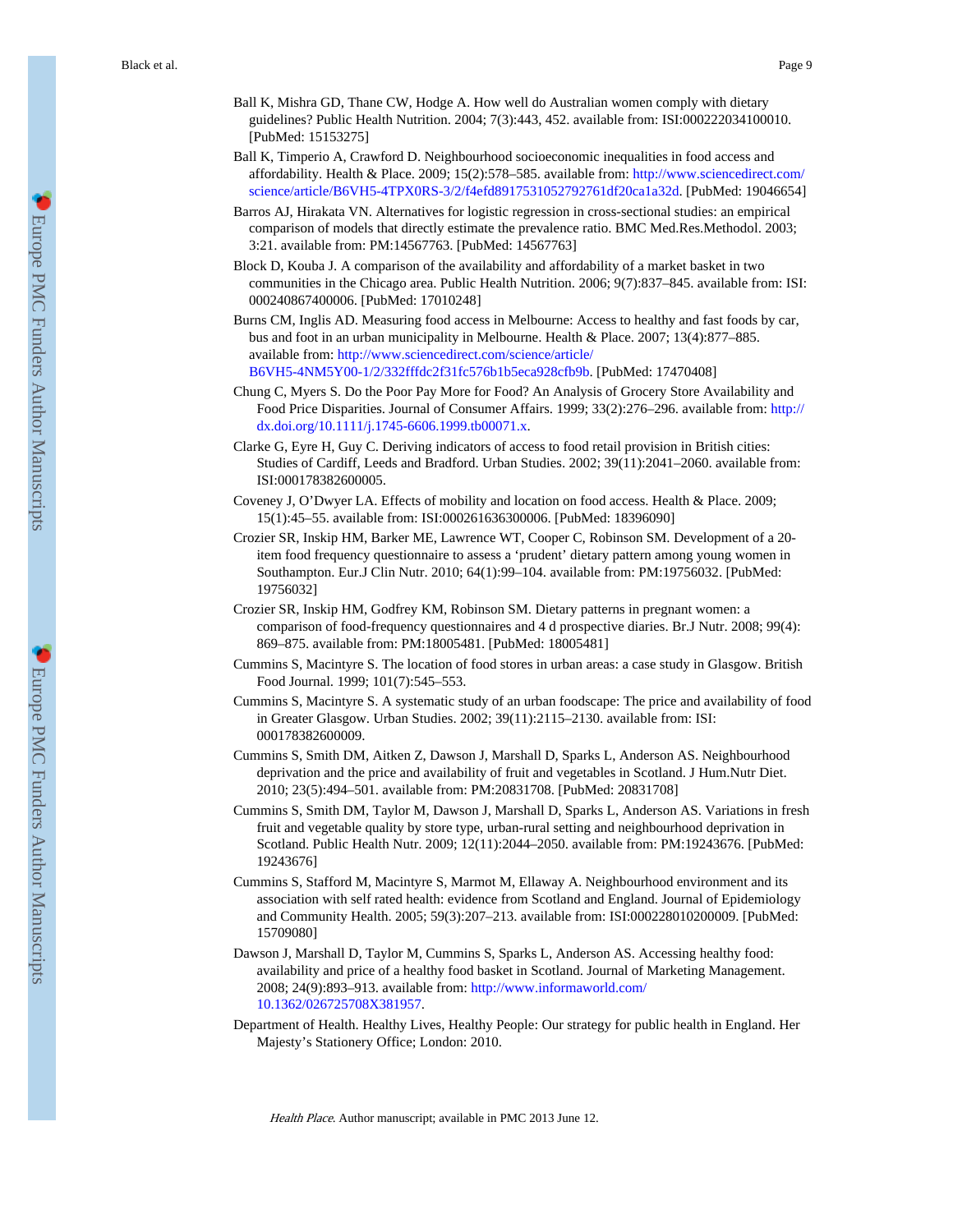- Ball K, Mishra GD, Thane CW, Hodge A. How well do Australian women comply with dietary guidelines? Public Health Nutrition. 2004; 7(3):443, 452. available from: ISI:000222034100010. [PubMed: 15153275]
- Ball K, Timperio A, Crawford D. Neighbourhood socioeconomic inequalities in food access and affordability. Health & Place. 2009; 15(2):578–585. available from: [http://www.sciencedirect.com/](http://www.sciencedirect.com/science/article/B6VH5-4TPX0RS-3/2/f4efd8917531052792761df20ca1a32d) [science/article/B6VH5-4TPX0RS-3/2/f4efd8917531052792761df20ca1a32d](http://www.sciencedirect.com/science/article/B6VH5-4TPX0RS-3/2/f4efd8917531052792761df20ca1a32d). [PubMed: 19046654]
- Barros AJ, Hirakata VN. Alternatives for logistic regression in cross-sectional studies: an empirical comparison of models that directly estimate the prevalence ratio. BMC Med.Res.Methodol. 2003; 3:21. available from: PM:14567763. [PubMed: 14567763]
- Block D, Kouba J. A comparison of the availability and affordability of a market basket in two communities in the Chicago area. Public Health Nutrition. 2006; 9(7):837–845. available from: ISI: 000240867400006. [PubMed: 17010248]
- Burns CM, Inglis AD. Measuring food access in Melbourne: Access to healthy and fast foods by car, bus and foot in an urban municipality in Melbourne. Health & Place. 2007; 13(4):877–885. available from: [http://www.sciencedirect.com/science/article/](http://www.sciencedirect.com/science/article/B6VH5-4NM5Y00-1/2/332fffdc2f31fc576b1b5eca928cfb9b) [B6VH5-4NM5Y00-1/2/332fffdc2f31fc576b1b5eca928cfb9b.](http://www.sciencedirect.com/science/article/B6VH5-4NM5Y00-1/2/332fffdc2f31fc576b1b5eca928cfb9b) [PubMed: 17470408]
- Chung C, Myers S. Do the Poor Pay More for Food? An Analysis of Grocery Store Availability and Food Price Disparities. Journal of Consumer Affairs. 1999; 33(2):276–296. available from: [http://](http://dx.doi.org/10.1111/j.1745-6606.1999.tb00071.x) [dx.doi.org/10.1111/j.1745-6606.1999.tb00071.x.](http://dx.doi.org/10.1111/j.1745-6606.1999.tb00071.x)
- Clarke G, Eyre H, Guy C. Deriving indicators of access to food retail provision in British cities: Studies of Cardiff, Leeds and Bradford. Urban Studies. 2002; 39(11):2041–2060. available from: ISI:000178382600005.
- Coveney J, O'Dwyer LA. Effects of mobility and location on food access. Health & Place. 2009; 15(1):45–55. available from: ISI:000261636300006. [PubMed: 18396090]
- Crozier SR, Inskip HM, Barker ME, Lawrence WT, Cooper C, Robinson SM. Development of a 20 item food frequency questionnaire to assess a 'prudent' dietary pattern among young women in Southampton. Eur.J Clin Nutr. 2010; 64(1):99–104. available from: PM:19756032. [PubMed: 19756032]
- Crozier SR, Inskip HM, Godfrey KM, Robinson SM. Dietary patterns in pregnant women: a comparison of food-frequency questionnaires and 4 d prospective diaries. Br.J Nutr. 2008; 99(4): 869–875. available from: PM:18005481. [PubMed: 18005481]
- Cummins S, Macintyre S. The location of food stores in urban areas: a case study in Glasgow. British Food Journal. 1999; 101(7):545–553.
- Cummins S, Macintyre S. A systematic study of an urban foodscape: The price and availability of food in Greater Glasgow. Urban Studies. 2002; 39(11):2115–2130. available from: ISI: 000178382600009.
- Cummins S, Smith DM, Aitken Z, Dawson J, Marshall D, Sparks L, Anderson AS. Neighbourhood deprivation and the price and availability of fruit and vegetables in Scotland. J Hum.Nutr Diet. 2010; 23(5):494–501. available from: PM:20831708. [PubMed: 20831708]
- Cummins S, Smith DM, Taylor M, Dawson J, Marshall D, Sparks L, Anderson AS. Variations in fresh fruit and vegetable quality by store type, urban-rural setting and neighbourhood deprivation in Scotland. Public Health Nutr. 2009; 12(11):2044–2050. available from: PM:19243676. [PubMed: 19243676]
- Cummins S, Stafford M, Macintyre S, Marmot M, Ellaway A. Neighbourhood environment and its association with self rated health: evidence from Scotland and England. Journal of Epidemiology and Community Health. 2005; 59(3):207–213. available from: ISI:000228010200009. [PubMed: 15709080]
- Dawson J, Marshall D, Taylor M, Cummins S, Sparks L, Anderson AS. Accessing healthy food: availability and price of a healthy food basket in Scotland. Journal of Marketing Management. 2008; 24(9):893–913. available from: [http://www.informaworld.com/](http://www.informaworld.com/10.1362/026725708X381957) [10.1362/026725708X381957.](http://www.informaworld.com/10.1362/026725708X381957)
- Department of Health. Healthy Lives, Healthy People: Our strategy for public health in England. Her Majesty's Stationery Office; London: 2010.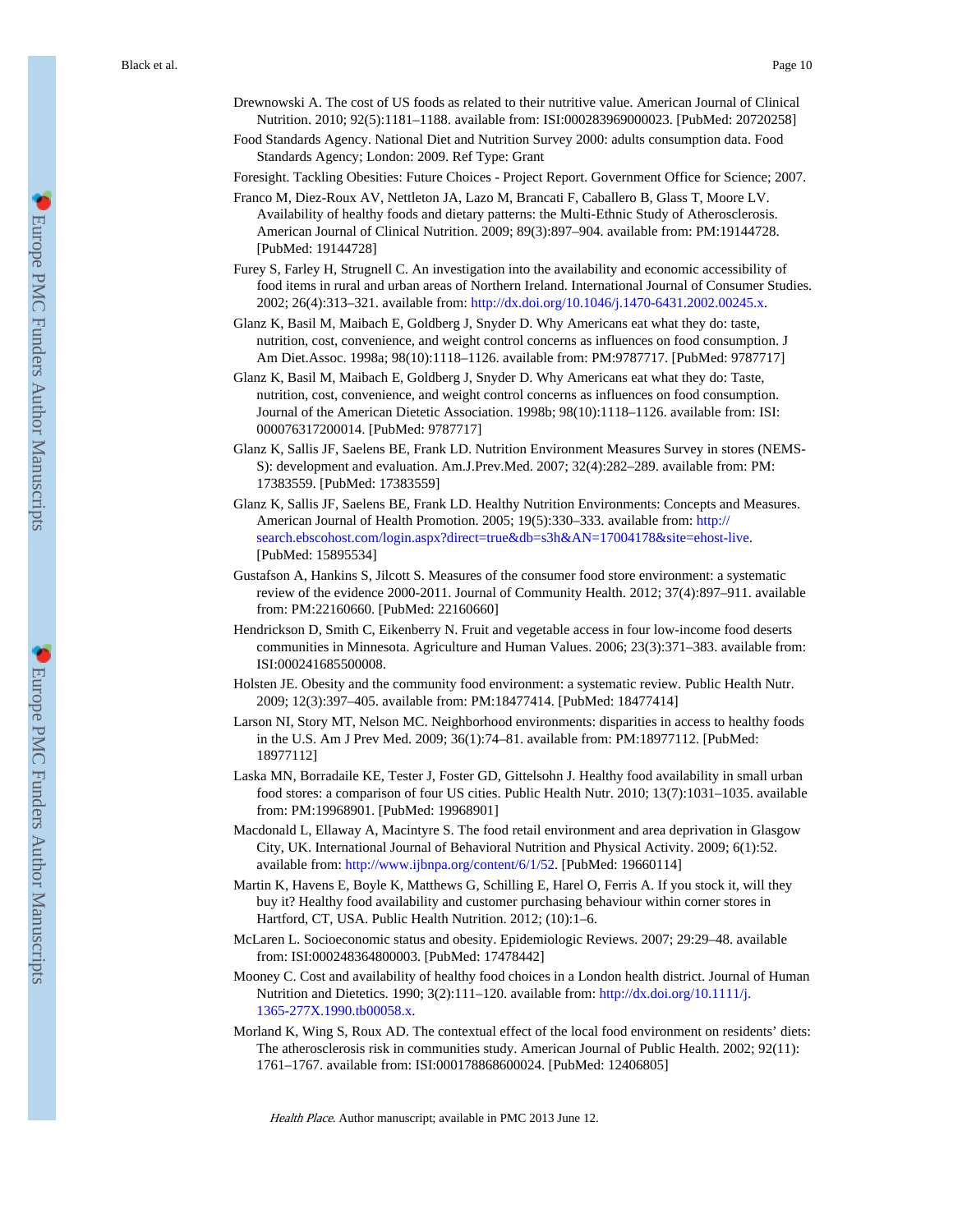- Drewnowski A. The cost of US foods as related to their nutritive value. American Journal of Clinical Nutrition. 2010; 92(5):1181–1188. available from: ISI:000283969000023. [PubMed: 20720258]
- Food Standards Agency. National Diet and Nutrition Survey 2000: adults consumption data. Food Standards Agency; London: 2009. Ref Type: Grant

Foresight. Tackling Obesities: Future Choices - Project Report. Government Office for Science; 2007.

- Franco M, Diez-Roux AV, Nettleton JA, Lazo M, Brancati F, Caballero B, Glass T, Moore LV. Availability of healthy foods and dietary patterns: the Multi-Ethnic Study of Atherosclerosis. American Journal of Clinical Nutrition. 2009; 89(3):897–904. available from: PM:19144728. [PubMed: 19144728]
- Furey S, Farley H, Strugnell C. An investigation into the availability and economic accessibility of food items in rural and urban areas of Northern Ireland. International Journal of Consumer Studies. 2002; 26(4):313–321. available from: [http://dx.doi.org/10.1046/j.1470-6431.2002.00245.x.](http://dx.doi.org/10.1046/j.1470-6431.2002.00245.x)
- Glanz K, Basil M, Maibach E, Goldberg J, Snyder D. Why Americans eat what they do: taste, nutrition, cost, convenience, and weight control concerns as influences on food consumption. J Am Diet.Assoc. 1998a; 98(10):1118–1126. available from: PM:9787717. [PubMed: 9787717]
- Glanz K, Basil M, Maibach E, Goldberg J, Snyder D. Why Americans eat what they do: Taste, nutrition, cost, convenience, and weight control concerns as influences on food consumption. Journal of the American Dietetic Association. 1998b; 98(10):1118–1126. available from: ISI: 000076317200014. [PubMed: 9787717]
- Glanz K, Sallis JF, Saelens BE, Frank LD. Nutrition Environment Measures Survey in stores (NEMS-S): development and evaluation. Am.J.Prev.Med. 2007; 32(4):282–289. available from: PM: 17383559. [PubMed: 17383559]
- Glanz K, Sallis JF, Saelens BE, Frank LD. Healthy Nutrition Environments: Concepts and Measures. American Journal of Health Promotion. 2005; 19(5):330–333. available from: [http://](http://search.ebscohost.com/login.aspx?direct=true&db=s3h&AN=17004178&site=ehost-live) [search.ebscohost.com/login.aspx?direct=true&db=s3h&AN=17004178&site=ehost-live.](http://search.ebscohost.com/login.aspx?direct=true&db=s3h&AN=17004178&site=ehost-live) [PubMed: 15895534]
- Gustafson A, Hankins S, Jilcott S. Measures of the consumer food store environment: a systematic review of the evidence 2000-2011. Journal of Community Health. 2012; 37(4):897–911. available from: PM:22160660. [PubMed: 22160660]
- Hendrickson D, Smith C, Eikenberry N. Fruit and vegetable access in four low-income food deserts communities in Minnesota. Agriculture and Human Values. 2006; 23(3):371–383. available from: ISI:000241685500008.
- Holsten JE. Obesity and the community food environment: a systematic review. Public Health Nutr. 2009; 12(3):397–405. available from: PM:18477414. [PubMed: 18477414]
- Larson NI, Story MT, Nelson MC. Neighborhood environments: disparities in access to healthy foods in the U.S. Am J Prev Med. 2009; 36(1):74–81. available from: PM:18977112. [PubMed: 18977112]
- Laska MN, Borradaile KE, Tester J, Foster GD, Gittelsohn J. Healthy food availability in small urban food stores: a comparison of four US cities. Public Health Nutr. 2010; 13(7):1031–1035. available from: PM:19968901. [PubMed: 19968901]
- Macdonald L, Ellaway A, Macintyre S. The food retail environment and area deprivation in Glasgow City, UK. International Journal of Behavioral Nutrition and Physical Activity. 2009; 6(1):52. available from: <http://www.ijbnpa.org/content/6/1/52>. [PubMed: 19660114]
- Martin K, Havens E, Boyle K, Matthews G, Schilling E, Harel O, Ferris A. If you stock it, will they buy it? Healthy food availability and customer purchasing behaviour within corner stores in Hartford, CT, USA. Public Health Nutrition. 2012; (10):1–6.
- McLaren L. Socioeconomic status and obesity. Epidemiologic Reviews. 2007; 29:29–48. available from: ISI:000248364800003. [PubMed: 17478442]
- Mooney C. Cost and availability of healthy food choices in a London health district. Journal of Human Nutrition and Dietetics. 1990; 3(2):111–120. available from: [http://dx.doi.org/10.1111/j.](http://dx.doi.org/10.1111/j.1365-277X.1990.tb00058.x) [1365-277X.1990.tb00058.x.](http://dx.doi.org/10.1111/j.1365-277X.1990.tb00058.x)
- Morland K, Wing S, Roux AD. The contextual effect of the local food environment on residents' diets: The atherosclerosis risk in communities study. American Journal of Public Health. 2002; 92(11): 1761–1767. available from: ISI:000178868600024. [PubMed: 12406805]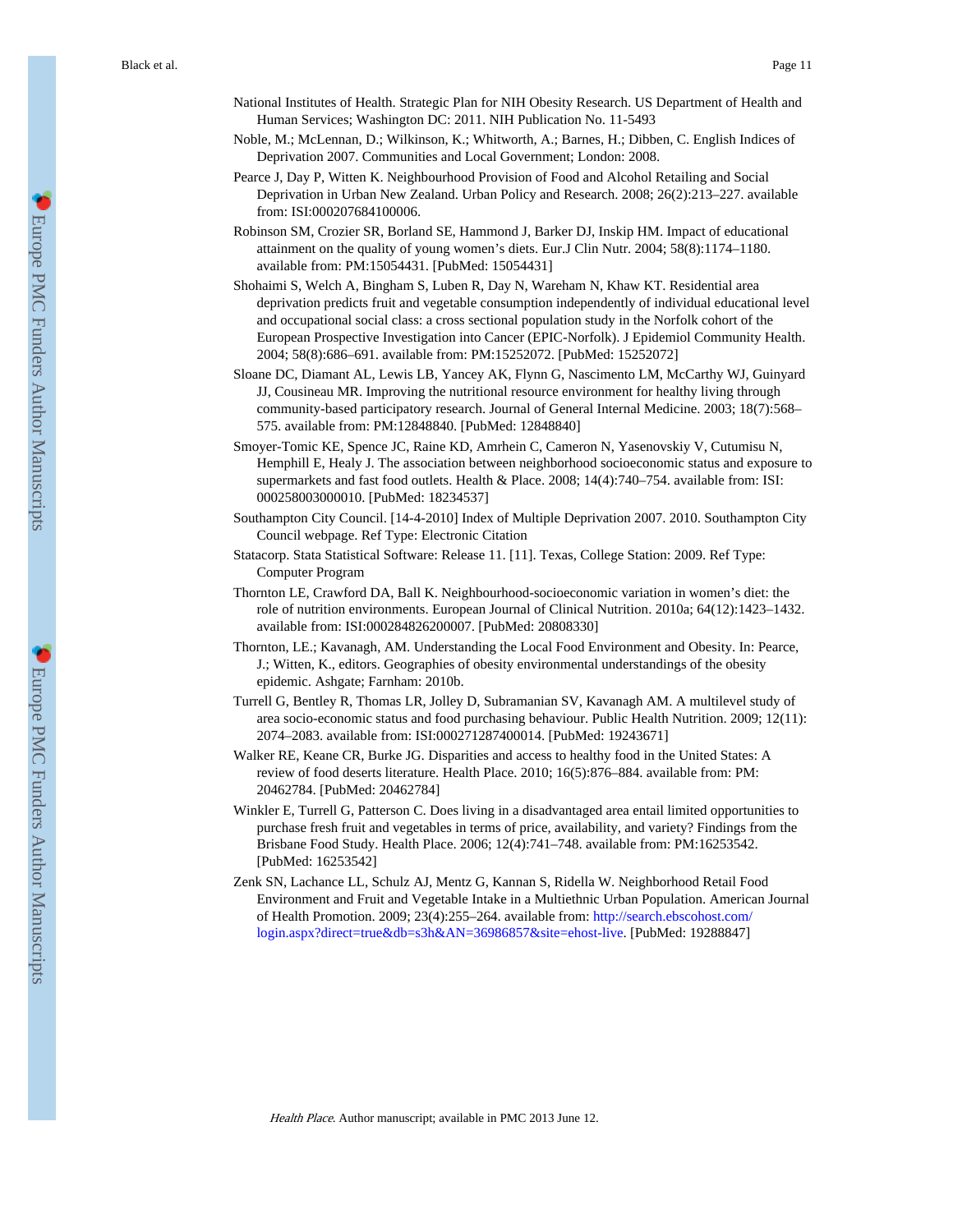- National Institutes of Health. Strategic Plan for NIH Obesity Research. US Department of Health and Human Services; Washington DC: 2011. NIH Publication No. 11-5493
- Noble, M.; McLennan, D.; Wilkinson, K.; Whitworth, A.; Barnes, H.; Dibben, C. English Indices of Deprivation 2007. Communities and Local Government; London: 2008.
- Pearce J, Day P, Witten K. Neighbourhood Provision of Food and Alcohol Retailing and Social Deprivation in Urban New Zealand. Urban Policy and Research. 2008; 26(2):213–227. available from: ISI:000207684100006.
- Robinson SM, Crozier SR, Borland SE, Hammond J, Barker DJ, Inskip HM. Impact of educational attainment on the quality of young women's diets. Eur.J Clin Nutr. 2004; 58(8):1174–1180. available from: PM:15054431. [PubMed: 15054431]
- Shohaimi S, Welch A, Bingham S, Luben R, Day N, Wareham N, Khaw KT. Residential area deprivation predicts fruit and vegetable consumption independently of individual educational level and occupational social class: a cross sectional population study in the Norfolk cohort of the European Prospective Investigation into Cancer (EPIC-Norfolk). J Epidemiol Community Health. 2004; 58(8):686–691. available from: PM:15252072. [PubMed: 15252072]
- Sloane DC, Diamant AL, Lewis LB, Yancey AK, Flynn G, Nascimento LM, McCarthy WJ, Guinyard JJ, Cousineau MR. Improving the nutritional resource environment for healthy living through community-based participatory research. Journal of General Internal Medicine. 2003; 18(7):568– 575. available from: PM:12848840. [PubMed: 12848840]
- Smoyer-Tomic KE, Spence JC, Raine KD, Amrhein C, Cameron N, Yasenovskiy V, Cutumisu N, Hemphill E, Healy J. The association between neighborhood socioeconomic status and exposure to supermarkets and fast food outlets. Health & Place. 2008; 14(4):740–754. available from: ISI: 000258003000010. [PubMed: 18234537]
- Southampton City Council. [14-4-2010] Index of Multiple Deprivation 2007. 2010. Southampton City Council webpage. Ref Type: Electronic Citation
- Statacorp. Stata Statistical Software: Release 11. [11]. Texas, College Station: 2009. Ref Type: Computer Program
- Thornton LE, Crawford DA, Ball K. Neighbourhood-socioeconomic variation in women's diet: the role of nutrition environments. European Journal of Clinical Nutrition. 2010a; 64(12):1423–1432. available from: ISI:000284826200007. [PubMed: 20808330]
- Thornton, LE.; Kavanagh, AM. Understanding the Local Food Environment and Obesity. In: Pearce, J.; Witten, K., editors. Geographies of obesity environmental understandings of the obesity epidemic. Ashgate; Farnham: 2010b.
- Turrell G, Bentley R, Thomas LR, Jolley D, Subramanian SV, Kavanagh AM. A multilevel study of area socio-economic status and food purchasing behaviour. Public Health Nutrition. 2009; 12(11): 2074–2083. available from: ISI:000271287400014. [PubMed: 19243671]
- Walker RE, Keane CR, Burke JG. Disparities and access to healthy food in the United States: A review of food deserts literature. Health Place. 2010; 16(5):876–884. available from: PM: 20462784. [PubMed: 20462784]
- Winkler E, Turrell G, Patterson C. Does living in a disadvantaged area entail limited opportunities to purchase fresh fruit and vegetables in terms of price, availability, and variety? Findings from the Brisbane Food Study. Health Place. 2006; 12(4):741–748. available from: PM:16253542. [PubMed: 16253542]
- Zenk SN, Lachance LL, Schulz AJ, Mentz G, Kannan S, Ridella W. Neighborhood Retail Food Environment and Fruit and Vegetable Intake in a Multiethnic Urban Population. American Journal of Health Promotion. 2009; 23(4):255–264. available from: [http://search.ebscohost.com/](http://search.ebscohost.com/login.aspx?direct=true&db=s3h&AN=36986857&site=ehost-live) [login.aspx?direct=true&db=s3h&AN=36986857&site=ehost-live.](http://search.ebscohost.com/login.aspx?direct=true&db=s3h&AN=36986857&site=ehost-live) [PubMed: 19288847]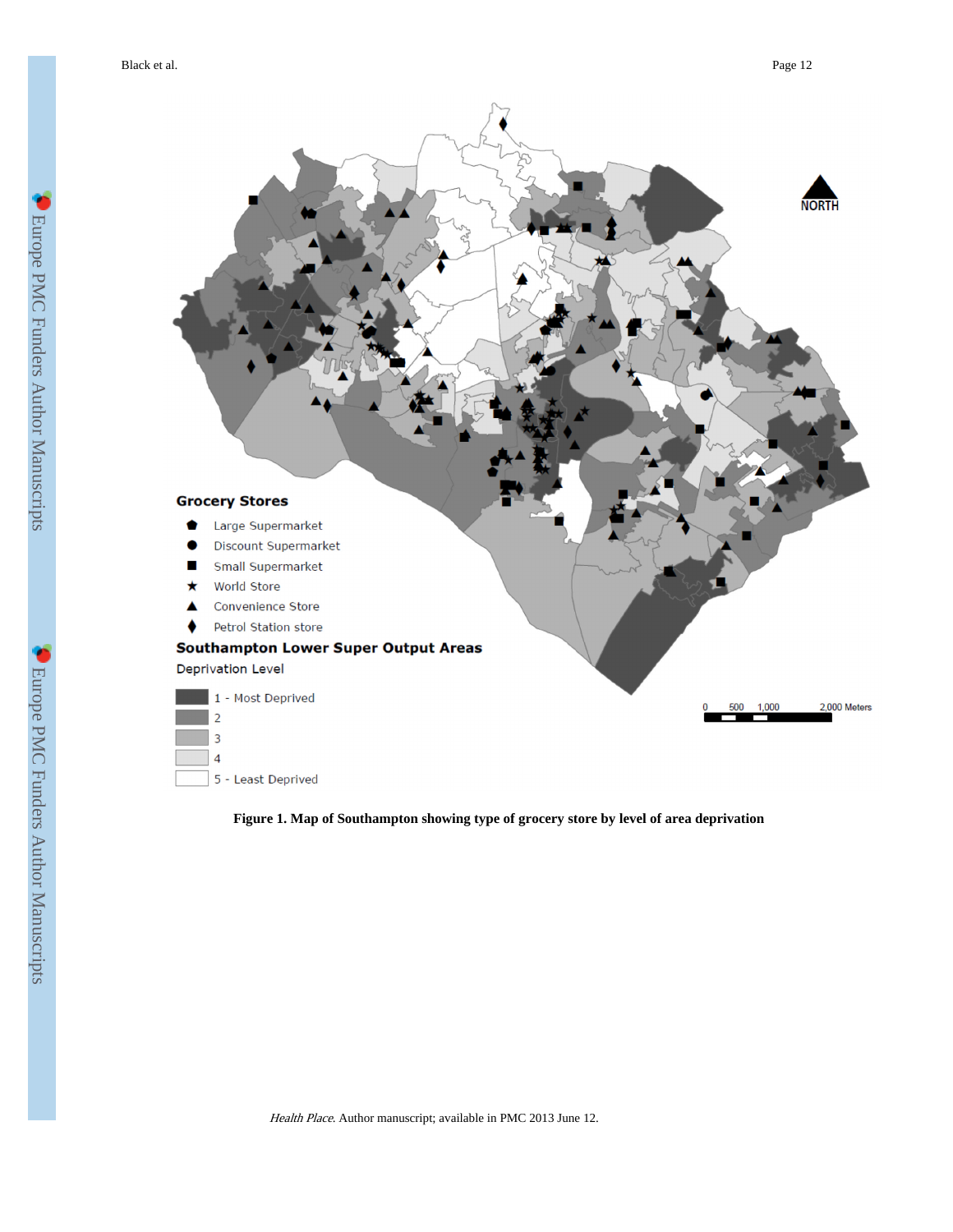

**Figure 1. Map of Southampton showing type of grocery store by level of area deprivation**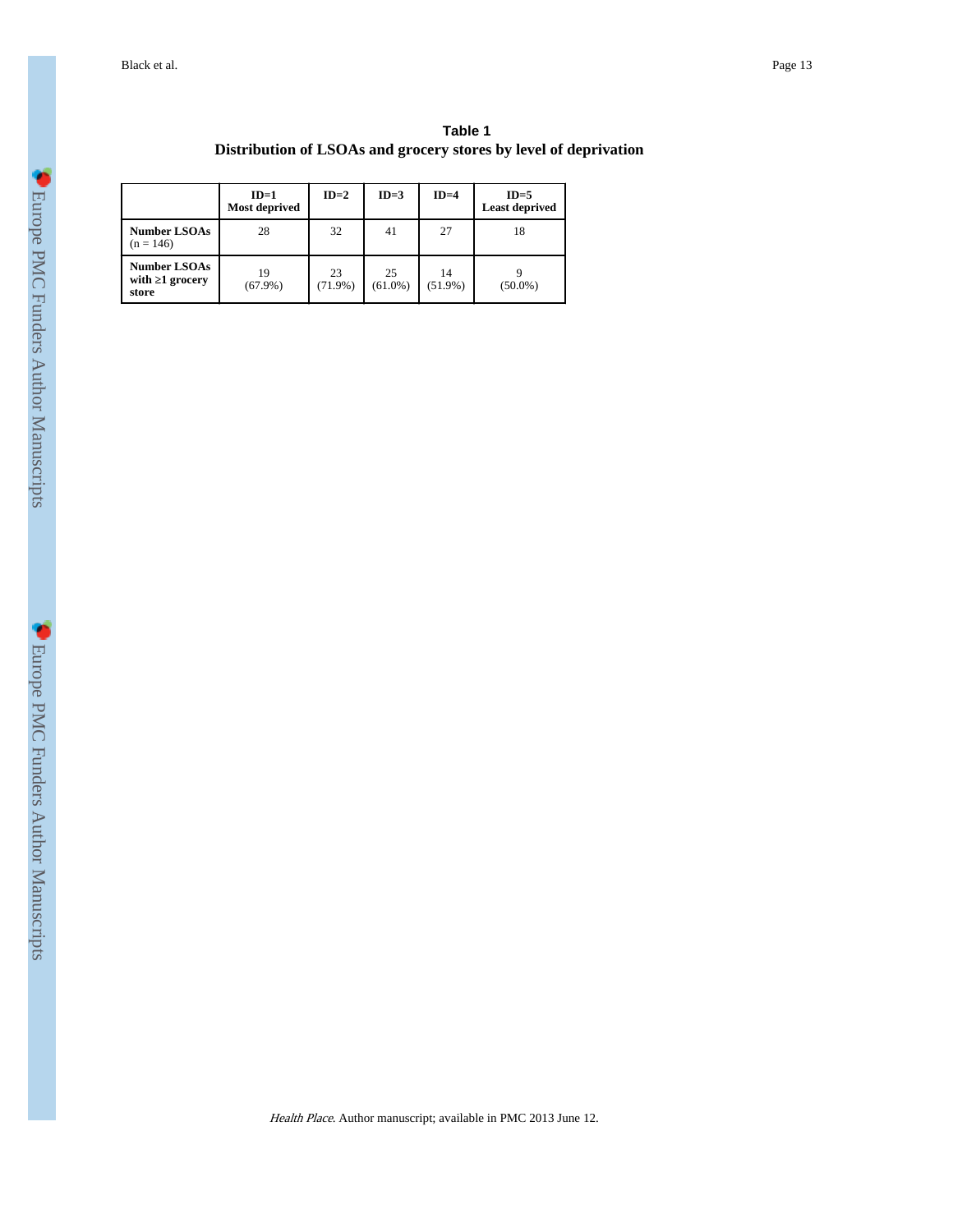|                                                                  | Table 1 |  |
|------------------------------------------------------------------|---------|--|
| Distribution of LSOAs and grocery stores by level of deprivation |         |  |

|                                                | $ID=1$<br>Most deprived | $ID=2$           | $ID=3$           | $ID=4$           | $ID=5$<br><b>Least deprived</b> |
|------------------------------------------------|-------------------------|------------------|------------------|------------------|---------------------------------|
| <b>Number LSOAs</b><br>$(n = 146)$             | 28                      | 32               | 41               | 27               | 18                              |
| <b>Number LSOAs</b><br>with 1 grocery<br>store | 19<br>$(67.9\%)$        | 23<br>$(71.9\%)$ | 25<br>$(61.0\%)$ | 14<br>$(51.9\%)$ | $(50.0\%)$                      |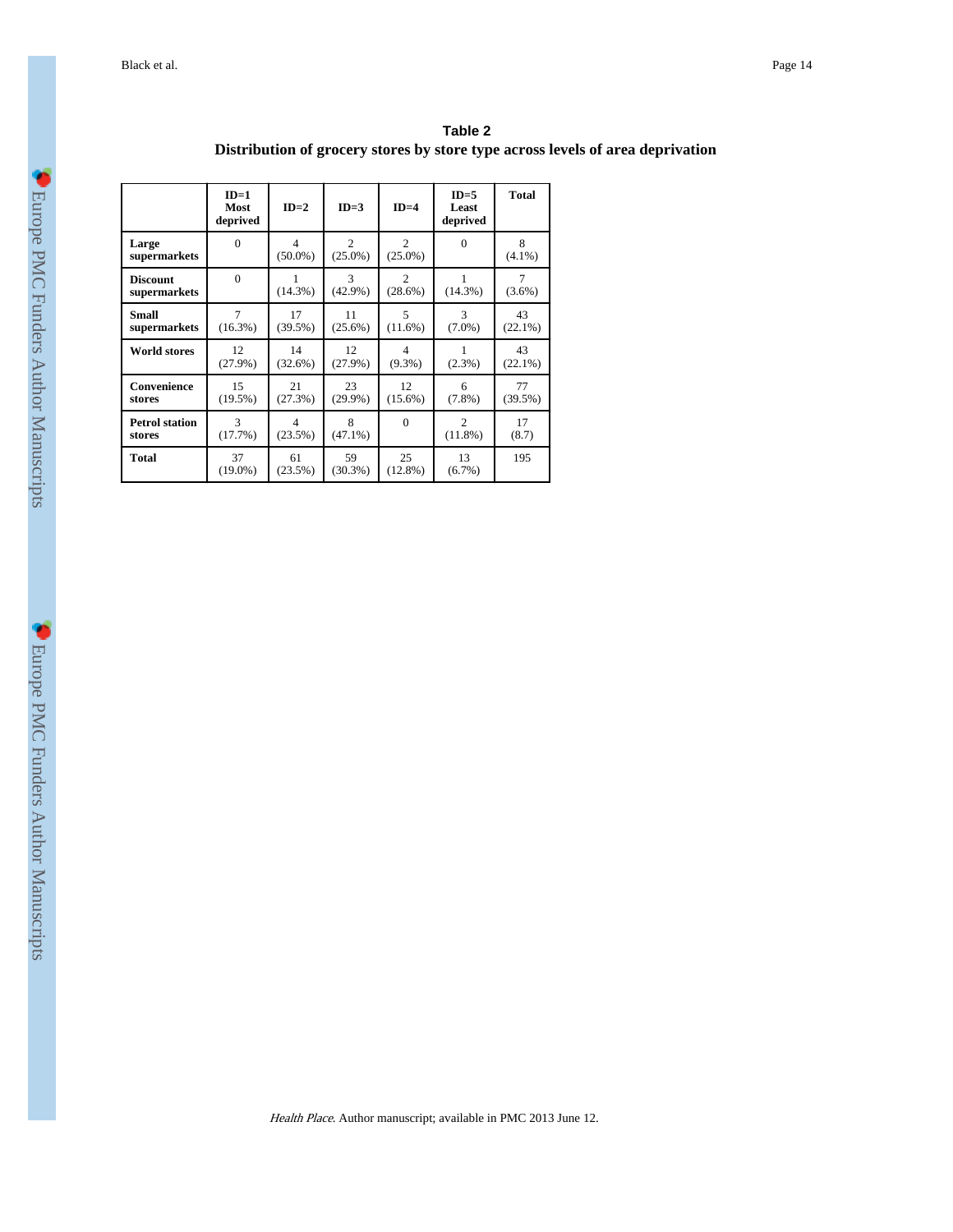|                                 | $ID=1$<br>Most<br>deprived | $ID=2$                       | $ID=3$                     | $ID=4$                               | $ID=5$<br>Least<br>deprived | <b>Total</b>        |
|---------------------------------|----------------------------|------------------------------|----------------------------|--------------------------------------|-----------------------------|---------------------|
| Large<br>supermarkets           | $\mathbf{0}$               | $\overline{4}$<br>$(50.0\%)$ | 2<br>$(25.0\%)$            | $\overline{c}$<br>$(25.0\%)$         | $\overline{0}$              | 8<br>$(4.1\%)$      |
| <b>Discount</b><br>supermarkets | $\theta$                   | $(14.3\%)$                   | $\mathbf{3}$<br>$(42.9\%)$ | $\mathcal{D}_{\alpha}$<br>$(28.6\%)$ | 1<br>$(14.3\%)$             | $\tau$<br>$(3.6\%)$ |
| <b>Small</b>                    | $\overline{7}$             | 17                           | 11                         | $\overline{\phantom{0}}$             | 3                           | 43                  |
| supermarkets                    | $(16.3\%)$                 | (39.5%)                      | $(25.6\%)$                 | $(11.6\%)$                           | $(7.0\%)$                   | $(22.1\%)$          |
| <b>World stores</b>             | 12                         | 14                           | 12                         | 4                                    | 1                           | 43                  |
|                                 | $(27.9\%)$                 | $(32.6\%)$                   | (27.9%)                    | $(9.3\%)$                            | $(2.3\%)$                   | $(22.1\%)$          |
| Convenience                     | 15                         | 21                           | 23                         | 12                                   | 6                           | 77                  |
| stores                          | (19.5%)                    | (27.3%)                      | $(29.9\%)$                 | $(15.6\%)$                           | $(7.8\%)$                   | (39.5%)             |
| <b>Petrol station</b>           | $\mathbf{3}$               | $\overline{4}$               | 8                          | $\Omega$                             | $\mathfrak{D}$              | 17                  |
| stores                          | (17.7%)                    | (23.5%)                      | $(47.1\%)$                 |                                      | $(11.8\%)$                  | (8.7)               |
| Total                           | 37<br>$(19.0\%)$           | 61<br>(23.5%)                | 59<br>(30.3%)              | 25<br>$(12.8\%)$                     | 13<br>$(6.7\%)$             | 195                 |

**Table 2 Distribution of grocery stores by store type across levels of area deprivation**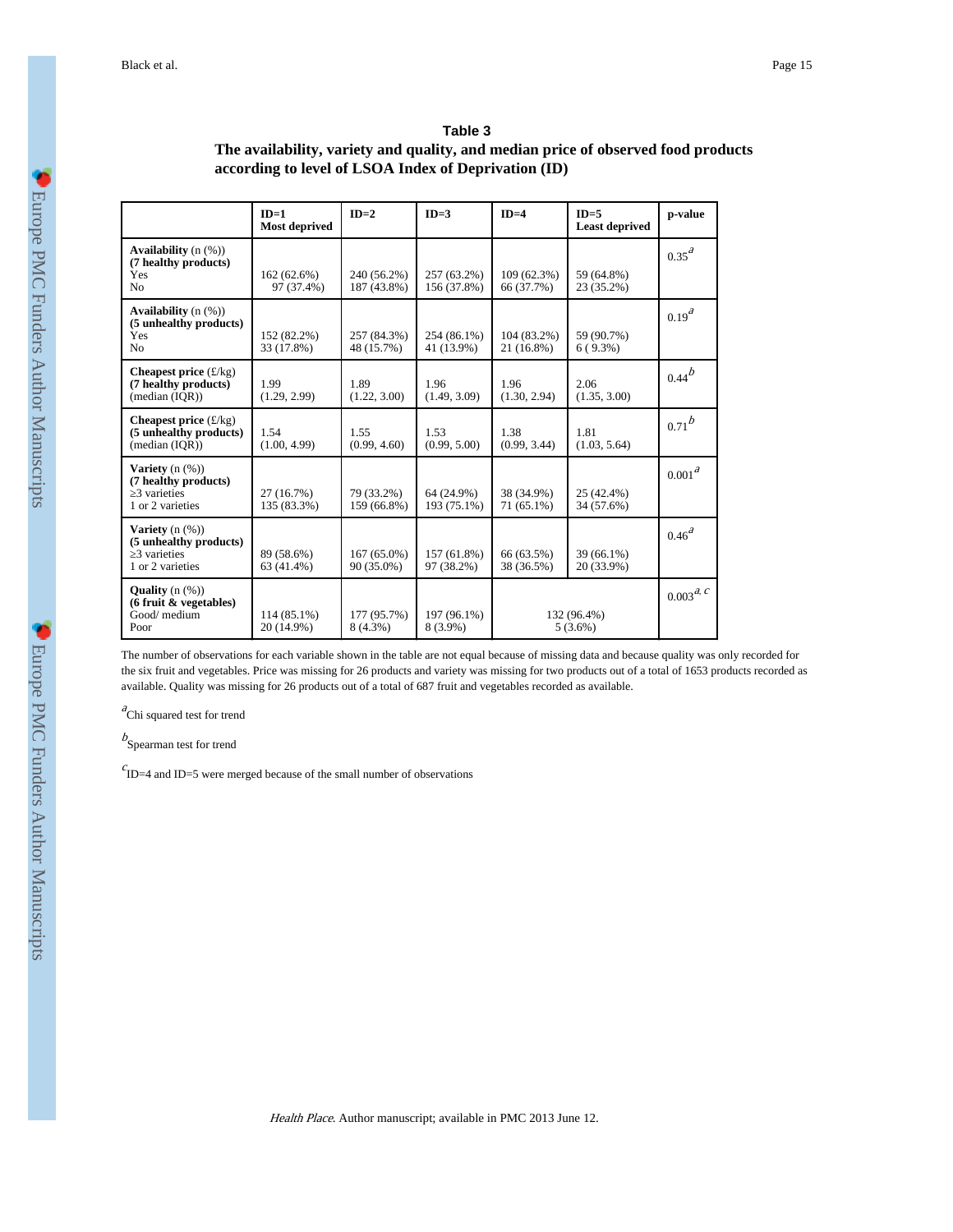#### **Table 3**

## **The availability, variety and quality, and median price of observed food products according to level of LSOA Index of Deprivation (ID)**

|                                                                                          | $ID=1$<br><b>Most deprived</b> | $ID=2$                     | $ID=3$                     | $ID=4$                      | $ID=5$<br><b>Least deprived</b> | p-value              |
|------------------------------------------------------------------------------------------|--------------------------------|----------------------------|----------------------------|-----------------------------|---------------------------------|----------------------|
| <b>Availability</b> $(n \ (\%))$<br>(7 healthy products)<br>Yes<br>N <sub>0</sub>        | 162(62.6%)<br>97 (37.4%)       | 240 (56.2%)<br>187 (43.8%) | 257 (63.2%)<br>156 (37.8%) | $109(62.3\%)$<br>66 (37.7%) | 59 (64.8%)<br>23 (35.2%)        | $0.35^{a}$           |
| <b>Availability</b> $(n \ (\%))$<br>(5 unhealthy products)<br>Yes<br>N <sub>0</sub>      | 152 (82.2%)<br>33 (17.8%)      | 257 (84.3%)<br>48 (15.7%)  | 254 (86.1%)<br>41 (13.9%)  | 104 (83.2%)<br>21 (16.8%)   | 59 (90.7%)<br>$6(9.3\%)$        | $0.19^{d}$           |
| <b>Cheapest price</b> $(f/kg)$<br>(7 healthy products)<br>(median (IOR))                 | 1.99<br>(1.29, 2.99)           | 1.89<br>(1.22, 3.00)       | 1.96<br>(1.49, 3.09)       | 1.96<br>(1.30, 2.94)        | 2.06<br>(1.35, 3.00)            | $0.44^{b}$           |
| Cheapest price $(f/kg)$<br>(5 unhealthy products)<br>(median (IOR))                      | 1.54<br>(1.00, 4.99)           | 1.55<br>(0.99, 4.60)       | 1.53<br>(0.99, 5.00)       | 1.38<br>(0.99, 3.44)        | 1.81<br>(1.03, 5.64)            | $0.71^{b}$           |
| <b>Variety</b> $(n \ (\%))$<br>(7 healthy products)<br>3 varieties<br>1 or 2 varieties   | 27(16.7%)<br>135 (83.3%)       | 79 (33.2%)<br>159 (66.8%)  | 64 (24.9%)<br>193 (75.1%)  | 38 (34.9%)<br>$71(65.1\%)$  | 25 (42.4%)<br>34 (57.6%)        | $0.001^{\textit{a}}$ |
| <b>Variety</b> $(n \ (\%))$<br>(5 unhealthy products)<br>3 varieties<br>1 or 2 varieties | 89 (58.6%)<br>63 (41.4%)       | 167 (65.0%)<br>90 (35.0%)  | 157 (61.8%)<br>97 (38.2%)  | 66 (63.5%)<br>38 (36.5%)    | 39 (66.1%)<br>20 (33.9%)        | $0.46^{a}$           |
| <b>Quality</b> $(n \ (\%))$<br>$(6$ fruit $\&$ vegetables)<br>Good/medium<br>Poor        | 114 (85.1%)<br>20 (14.9%)      | 177 (95.7%)<br>8 (4.3%)    | 197 (96.1%)<br>8 (3.9%)    |                             | 132 (96.4%)<br>$5(3.6\%)$       | $0.003^{d, c}$       |

The number of observations for each variable shown in the table are not equal because of missing data and because quality was only recorded for the six fruit and vegetables. Price was missing for 26 products and variety was missing for two products out of a total of 1653 products recorded as available. Quality was missing for 26 products out of a total of 687 fruit and vegetables recorded as available.

<sup>a</sup>Chi squared test for trend

b<br>Spearman test for trend

 $c_{ID=4}$  and ID=5 were merged because of the small number of observations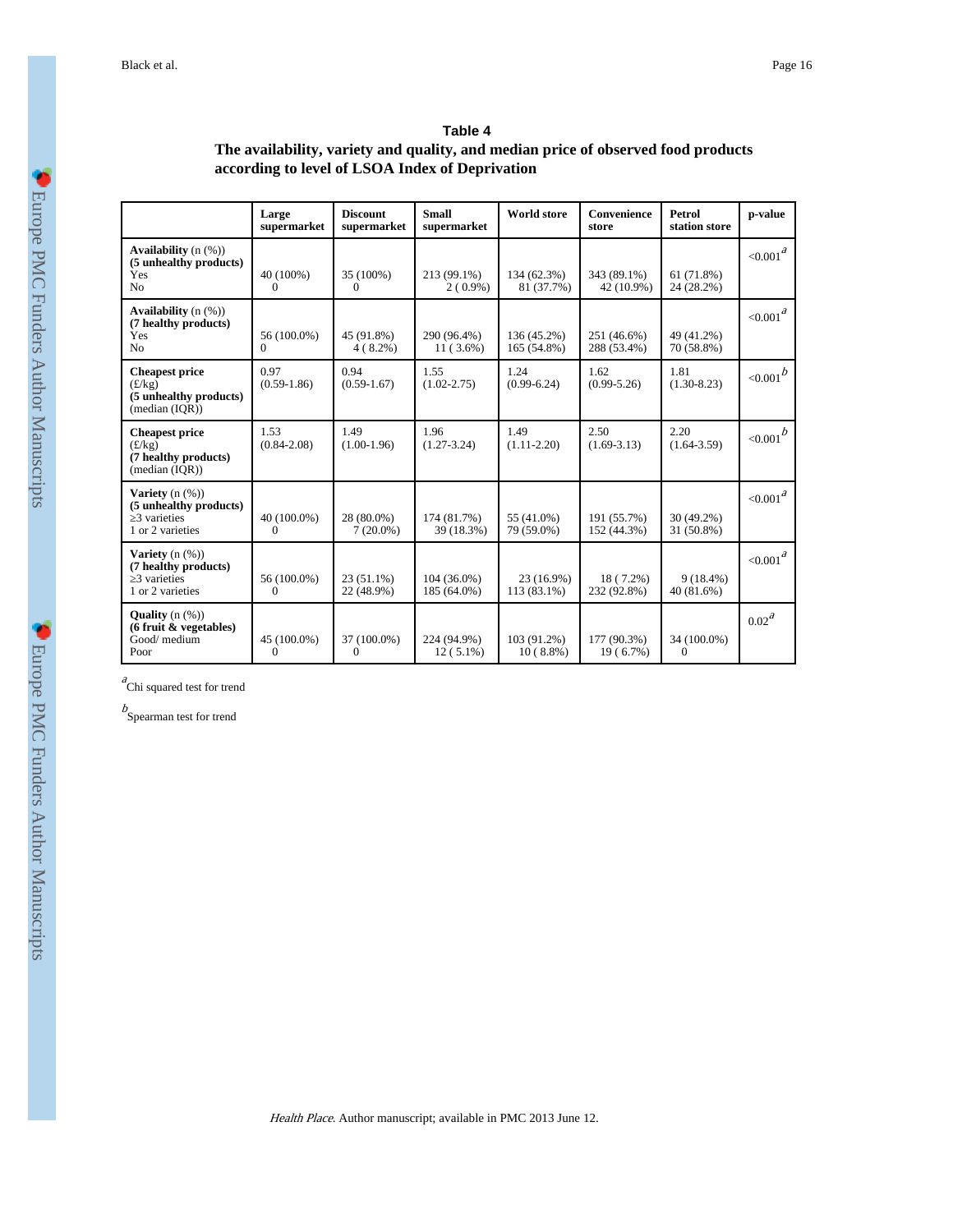#### **Table 4**

# **The availability, variety and quality, and median price of observed food products according to level of LSOA Index of Deprivation**

|                                                                                        | Large<br>supermarket    | <b>Discount</b><br>supermarket | <b>Small</b><br>supermarket  | <b>World store</b>         | Convenience<br>store       | Petrol<br>station store  | p-value                 |
|----------------------------------------------------------------------------------------|-------------------------|--------------------------------|------------------------------|----------------------------|----------------------------|--------------------------|-------------------------|
| Availability $(n (\%))$<br>(5 unhealthy products)<br>Yes<br>N <sub>0</sub>             | 40 (100%)<br>$\Omega$   | 35 (100%)<br>$\mathbf{0}$      | 213 (99.1%)<br>$2(0.9\%)$    | 134 (62.3%)<br>81 (37.7%)  | 343 (89.1%)<br>42 (10.9%)  | 61(71.8%)<br>24 (28.2%)  | $<0.001a$               |
| <b>Availability</b> $(n \ (\%))$<br>(7 healthy products)<br>Yes<br>N <sub>0</sub>      | 56 (100.0%)<br>$\Omega$ | 45 (91.8%)<br>$4(8.2\%)$       | 290 (96.4%)<br>$11(3.6\%)$   | 136 (45.2%)<br>165 (54.8%) | 251 (46.6%)<br>288 (53.4%) | 49 (41.2%)<br>70 (58.8%) | $<0.001a$               |
| <b>Cheapest price</b><br>(f/kg)<br>(5 unhealthy products)<br>(median (IQR))            | 0.97<br>$(0.59-1.86)$   | 0.94<br>$(0.59-1.67)$          | 1.55<br>$(1.02 - 2.75)$      | 1.24<br>$(0.99 - 6.24)$    | 1.62<br>$(0.99 - 5.26)$    | 1.81<br>$(1.30 - 8.23)$  | $<$ 0.001 $^b$          |
| <b>Cheapest price</b><br>(f/kg)<br>(7 healthy products)<br>(median (IQR))              | 1.53<br>$(0.84 - 2.08)$ | 1.49<br>$(1.00-1.96)$          | 1.96<br>$(1.27 - 3.24)$      | 1.49<br>$(1.11-2.20)$      | 2.50<br>$(1.69 - 3.13)$    | 2.20<br>$(1.64 - 3.59)$  | $<$ 0.001 $^b$          |
| Variety $(n \ (\%))$<br>(5 unhealthy products)<br>3 varieties<br>1 or 2 varieties      | 40 (100.0%)<br>$\Omega$ | 28 (80.0%)<br>$7(20.0\%)$      | 174 (81.7%)<br>39 (18.3%)    | 55 (41.0%)<br>79 (59.0%)   | 191 (55.7%)<br>152 (44.3%) | 30 (49.2%)<br>31 (50.8%) | ${<}0.001^{\textit{a}}$ |
| <b>Variety</b> $(n \ (\%))$<br>(7 healthy products)<br>3 varieties<br>1 or 2 varieties | 56 (100.0%)<br>$\Omega$ | $23(51.1\%)$<br>22 (48.9%)     | $104(36.0\%)$<br>185 (64.0%) | 23 (16.9%)<br>113 (83.1%)  | $18(7.2\%)$<br>232 (92.8%) | $9(18.4\%)$<br>40(81.6%) | $<0.001a$               |
| <b>Quality</b> $(n \ (\%))$<br>$(6$ fruit & vegetables)<br>Good/medium<br>Poor         | 45 (100.0%)<br>$\Omega$ | 37 (100.0%)<br>$\Omega$        | 224 (94.9%)<br>$12(5.1\%)$   | 103 (91.2%)<br>$10(8.8\%)$ | 177 (90.3%)<br>19 (6.7%)   | 34 (100.0%)<br>$\Omega$  | $0.02^{\textit{a}}$     |

<sup>a</sup>Chi squared test for trend

b<br>Spearman test for trend